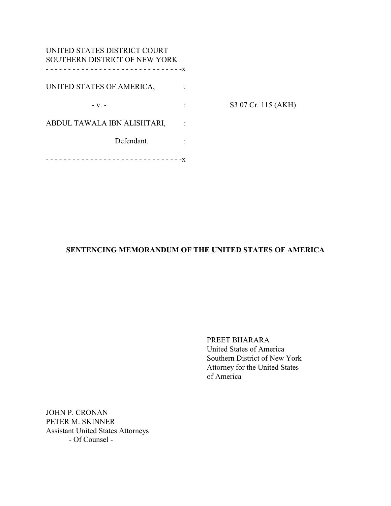| UNITED STATES DISTRICT COURT<br>SOUTHERN DISTRICT OF NEW YORK |                     |
|---------------------------------------------------------------|---------------------|
|                                                               |                     |
| UNITED STATES OF AMERICA,                                     |                     |
| $-V.$ -                                                       | S3 07 Cr. 115 (AKH) |
| ABDUL TAWALA IBN ALISHTARI,                                   |                     |
| Defendant.                                                    |                     |
|                                                               |                     |

# **SENTENCING MEMORANDUM OF THE UNITED STATES OF AMERICA**

PREET BHARARA United States of America Southern District of New York Attorney for the United States of America

JOHN P. CRONAN PETER M. SKINNER Assistant United States Attorneys - Of Counsel -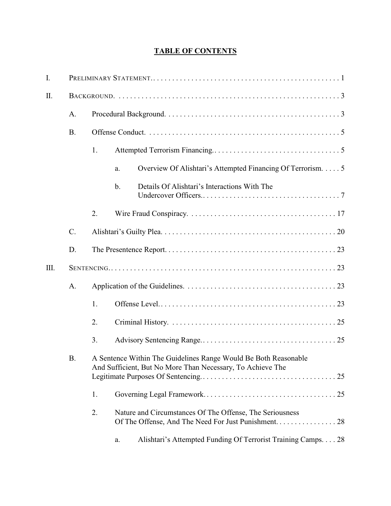# **TABLE OF CONTENTS**

| Ι.   |           |                                                                                                                               |                                                                     |  |
|------|-----------|-------------------------------------------------------------------------------------------------------------------------------|---------------------------------------------------------------------|--|
| II.  |           |                                                                                                                               |                                                                     |  |
|      | A.        |                                                                                                                               |                                                                     |  |
|      | <b>B.</b> |                                                                                                                               |                                                                     |  |
|      |           | 1.                                                                                                                            |                                                                     |  |
|      |           |                                                                                                                               | Overview Of Alishtari's Attempted Financing Of Terrorism. 5<br>a.   |  |
|      |           |                                                                                                                               | Details Of Alishtari's Interactions With The<br>$\mathbf b$ .       |  |
|      |           | 2.                                                                                                                            |                                                                     |  |
|      | $C$ .     |                                                                                                                               |                                                                     |  |
|      | D.        |                                                                                                                               |                                                                     |  |
| III. |           |                                                                                                                               |                                                                     |  |
|      | A.        |                                                                                                                               |                                                                     |  |
|      |           | 1.                                                                                                                            |                                                                     |  |
|      |           | 2.                                                                                                                            |                                                                     |  |
|      |           | 3.                                                                                                                            |                                                                     |  |
| В.   |           | A Sentence Within The Guidelines Range Would Be Both Reasonable<br>And Sufficient, But No More Than Necessary, To Achieve The |                                                                     |  |
|      |           | 1.                                                                                                                            |                                                                     |  |
|      |           | 2.                                                                                                                            | Nature and Circumstances Of The Offense, The Seriousness            |  |
|      |           |                                                                                                                               | Alishtari's Attempted Funding Of Terrorist Training Camps. 28<br>a. |  |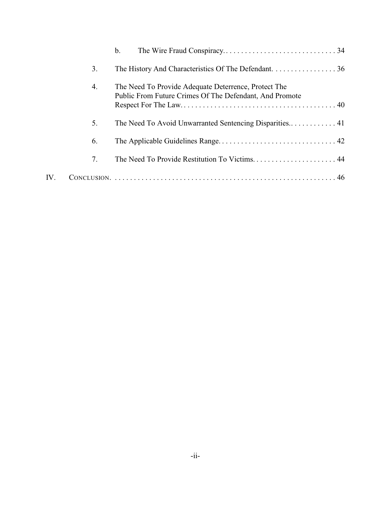|     |    | $\mathbf{b}$ .                                                                                                  |
|-----|----|-----------------------------------------------------------------------------------------------------------------|
|     | 3. | The History And Characteristics Of The Defendant. 36                                                            |
|     | 4. | The Need To Provide Adequate Deterrence, Protect The<br>Public From Future Crimes Of The Defendant, And Promote |
|     | 5. |                                                                                                                 |
|     | 6. |                                                                                                                 |
|     | 7. | The Need To Provide Restitution To Victims 44                                                                   |
| IV. |    |                                                                                                                 |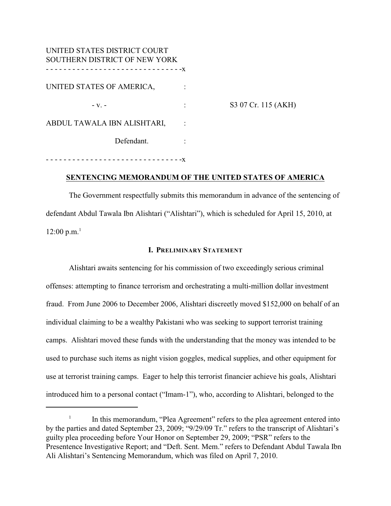| UNITED STATES DISTRICT COURT<br>SOUTHERN DISTRICT OF NEW YORK |                     |
|---------------------------------------------------------------|---------------------|
| UNITED STATES OF AMERICA,                                     |                     |
| $-V.$ -                                                       | S3 07 Cr. 115 (AKH) |
| ABDUL TAWALA IBN ALISHTARI,                                   |                     |
| Defendant.                                                    |                     |
|                                                               |                     |

### **SENTENCING MEMORANDUM OF THE UNITED STATES OF AMERICA**

The Government respectfully submits this memorandum in advance of the sentencing of defendant Abdul Tawala Ibn Alishtari ("Alishtari"), which is scheduled for April 15, 2010, at  $12:00 \text{ p.m.}^1$ 

### **I. PRELIMINARY STATEMENT**

Alishtari awaits sentencing for his commission of two exceedingly serious criminal offenses: attempting to finance terrorism and orchestrating a multi-million dollar investment fraud. From June 2006 to December 2006, Alishtari discreetly moved \$152,000 on behalf of an individual claiming to be a wealthy Pakistani who was seeking to support terrorist training camps. Alishtari moved these funds with the understanding that the money was intended to be used to purchase such items as night vision goggles, medical supplies, and other equipment for use at terrorist training camps. Eager to help this terrorist financier achieve his goals, Alishtari introduced him to a personal contact ("Imam-1"), who, according to Alishtari, belonged to the

 $\frac{1}{1}$  In this memorandum, "Plea Agreement" refers to the plea agreement entered into by the parties and dated September 23, 2009; "9/29/09 Tr." refers to the transcript of Alishtari's guilty plea proceeding before Your Honor on September 29, 2009; "PSR" refers to the Presentence Investigative Report; and "Deft. Sent. Mem." refers to Defendant Abdul Tawala Ibn Ali Alishtari's Sentencing Memorandum, which was filed on April 7, 2010.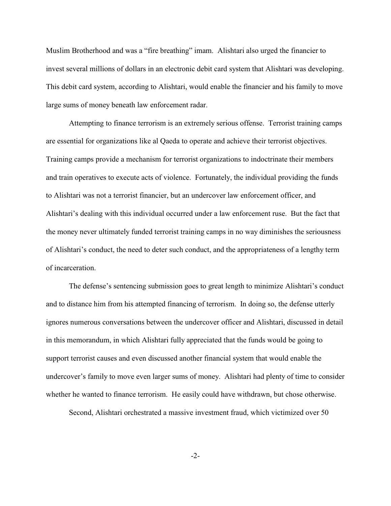Muslim Brotherhood and was a "fire breathing" imam. Alishtari also urged the financier to invest several millions of dollars in an electronic debit card system that Alishtari was developing. This debit card system, according to Alishtari, would enable the financier and his family to move large sums of money beneath law enforcement radar.

Attempting to finance terrorism is an extremely serious offense. Terrorist training camps are essential for organizations like al Qaeda to operate and achieve their terrorist objectives. Training camps provide a mechanism for terrorist organizations to indoctrinate their members and train operatives to execute acts of violence. Fortunately, the individual providing the funds to Alishtari was not a terrorist financier, but an undercover law enforcement officer, and Alishtari's dealing with this individual occurred under a law enforcement ruse. But the fact that the money never ultimately funded terrorist training camps in no way diminishes the seriousness of Alishtari's conduct, the need to deter such conduct, and the appropriateness of a lengthy term of incarceration.

The defense's sentencing submission goes to great length to minimize Alishtari's conduct and to distance him from his attempted financing of terrorism. In doing so, the defense utterly ignores numerous conversations between the undercover officer and Alishtari, discussed in detail in this memorandum, in which Alishtari fully appreciated that the funds would be going to support terrorist causes and even discussed another financial system that would enable the undercover's family to move even larger sums of money. Alishtari had plenty of time to consider whether he wanted to finance terrorism. He easily could have withdrawn, but chose otherwise.

Second, Alishtari orchestrated a massive investment fraud, which victimized over 50

-2-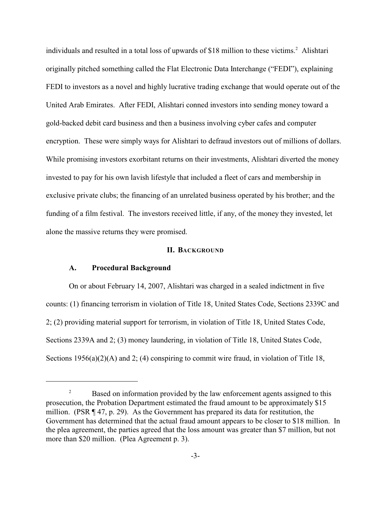individuals and resulted in a total loss of upwards of \$18 million to these victims.<sup>2</sup> Alishtari originally pitched something called the Flat Electronic Data Interchange ("FEDI"), explaining FEDI to investors as a novel and highly lucrative trading exchange that would operate out of the United Arab Emirates. After FEDI, Alishtari conned investors into sending money toward a gold-backed debit card business and then a business involving cyber cafes and computer encryption. These were simply ways for Alishtari to defraud investors out of millions of dollars. While promising investors exorbitant returns on their investments, Alishtari diverted the money invested to pay for his own lavish lifestyle that included a fleet of cars and membership in exclusive private clubs; the financing of an unrelated business operated by his brother; and the funding of a film festival. The investors received little, if any, of the money they invested, let alone the massive returns they were promised.

### **II. BACKGROUND**

#### **A. Procedural Background**

On or about February 14, 2007, Alishtari was charged in a sealed indictment in five counts: (1) financing terrorism in violation of Title 18, United States Code, Sections 2339C and 2; (2) providing material support for terrorism, in violation of Title 18, United States Code, Sections 2339A and 2; (3) money laundering, in violation of Title 18, United States Code, Sections 1956(a)(2)(A) and 2; (4) conspiring to commit wire fraud, in violation of Title 18,

Based on information provided by the law enforcement agents assigned to this 2 prosecution, the Probation Department estimated the fraud amount to be approximately \$15 million. (PSR ¶ 47, p. 29). As the Government has prepared its data for restitution, the Government has determined that the actual fraud amount appears to be closer to \$18 million. In the plea agreement, the parties agreed that the loss amount was greater than \$7 million, but not more than \$20 million. (Plea Agreement p. 3).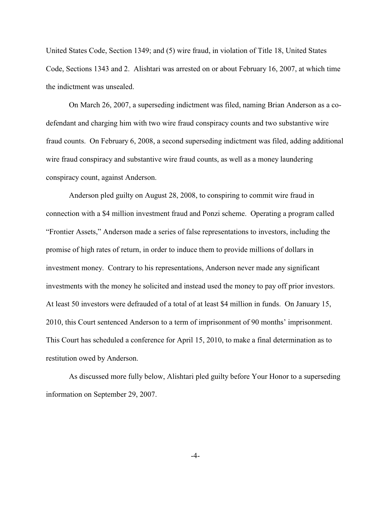United States Code, Section 1349; and (5) wire fraud, in violation of Title 18, United States Code, Sections 1343 and 2. Alishtari was arrested on or about February 16, 2007, at which time the indictment was unsealed.

On March 26, 2007, a superseding indictment was filed, naming Brian Anderson as a codefendant and charging him with two wire fraud conspiracy counts and two substantive wire fraud counts. On February 6, 2008, a second superseding indictment was filed, adding additional wire fraud conspiracy and substantive wire fraud counts, as well as a money laundering conspiracy count, against Anderson.

Anderson pled guilty on August 28, 2008, to conspiring to commit wire fraud in connection with a \$4 million investment fraud and Ponzi scheme. Operating a program called "Frontier Assets," Anderson made a series of false representations to investors, including the promise of high rates of return, in order to induce them to provide millions of dollars in investment money. Contrary to his representations, Anderson never made any significant investments with the money he solicited and instead used the money to pay off prior investors. At least 50 investors were defrauded of a total of at least \$4 million in funds. On January 15, 2010, this Court sentenced Anderson to a term of imprisonment of 90 months' imprisonment. This Court has scheduled a conference for April 15, 2010, to make a final determination as to restitution owed by Anderson.

As discussed more fully below, Alishtari pled guilty before Your Honor to a superseding information on September 29, 2007.

-4-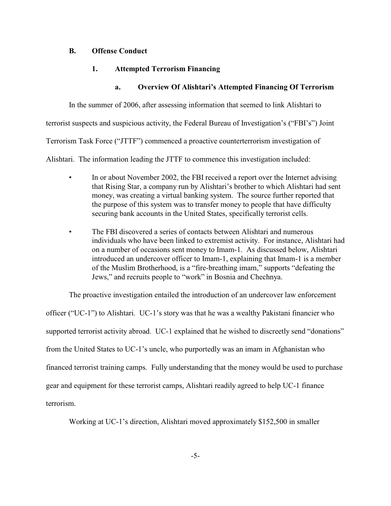# **B. Offense Conduct**

# **1. Attempted Terrorism Financing**

# **a. Overview Of Alishtari's Attempted Financing Of Terrorism**

In the summer of 2006, after assessing information that seemed to link Alishtari to

terrorist suspects and suspicious activity, the Federal Bureau of Investigation's ("FBI's") Joint

Terrorism Task Force ("JTTF") commenced a proactive counterterrorism investigation of

Alishtari. The information leading the JTTF to commence this investigation included:

- In or about November 2002, the FBI received a report over the Internet advising that Rising Star, a company run by Alishtari's brother to which Alishtari had sent money, was creating a virtual banking system. The source further reported that the purpose of this system was to transfer money to people that have difficulty securing bank accounts in the United States, specifically terrorist cells.
- The FBI discovered a series of contacts between Alishtari and numerous individuals who have been linked to extremist activity. For instance, Alishtari had on a number of occasions sent money to Imam-1. As discussed below, Alishtari introduced an undercover officer to Imam-1, explaining that Imam-1 is a member of the Muslim Brotherhood, is a "fire-breathing imam," supports "defeating the Jews," and recruits people to "work" in Bosnia and Chechnya.

The proactive investigation entailed the introduction of an undercover law enforcement officer ("UC-1") to Alishtari. UC-1's story was that he was a wealthy Pakistani financier who supported terrorist activity abroad. UC-1 explained that he wished to discreetly send "donations" from the United States to UC-1's uncle, who purportedly was an imam in Afghanistan who financed terrorist training camps. Fully understanding that the money would be used to purchase gear and equipment for these terrorist camps, Alishtari readily agreed to help UC-1 finance terrorism.

Working at UC-1's direction, Alishtari moved approximately \$152,500 in smaller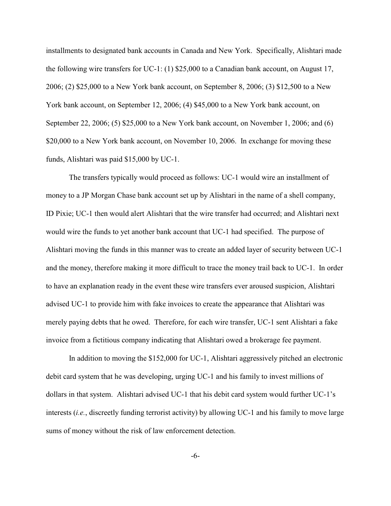installments to designated bank accounts in Canada and New York. Specifically, Alishtari made the following wire transfers for UC-1: (1) \$25,000 to a Canadian bank account, on August 17, 2006; (2) \$25,000 to a New York bank account, on September 8, 2006; (3) \$12,500 to a New York bank account, on September 12, 2006; (4) \$45,000 to a New York bank account, on September 22, 2006; (5) \$25,000 to a New York bank account, on November 1, 2006; and (6) \$20,000 to a New York bank account, on November 10, 2006. In exchange for moving these funds, Alishtari was paid \$15,000 by UC-1.

The transfers typically would proceed as follows: UC-1 would wire an installment of money to a JP Morgan Chase bank account set up by Alishtari in the name of a shell company, ID Pixie; UC-1 then would alert Alishtari that the wire transfer had occurred; and Alishtari next would wire the funds to yet another bank account that UC-1 had specified. The purpose of Alishtari moving the funds in this manner was to create an added layer of security between UC-1 and the money, therefore making it more difficult to trace the money trail back to UC-1. In order to have an explanation ready in the event these wire transfers ever aroused suspicion, Alishtari advised UC-1 to provide him with fake invoices to create the appearance that Alishtari was merely paying debts that he owed. Therefore, for each wire transfer, UC-1 sent Alishtari a fake invoice from a fictitious company indicating that Alishtari owed a brokerage fee payment.

In addition to moving the \$152,000 for UC-1, Alishtari aggressively pitched an electronic debit card system that he was developing, urging UC-1 and his family to invest millions of dollars in that system. Alishtari advised UC-1 that his debit card system would further UC-1's interests (*i.e.*, discreetly funding terrorist activity) by allowing UC-1 and his family to move large sums of money without the risk of law enforcement detection.

-6-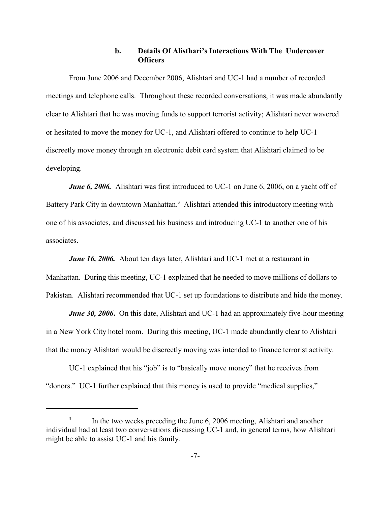# **b. Details Of Alisthari's Interactions With The Undercover Officers**

From June 2006 and December 2006, Alishtari and UC-1 had a number of recorded meetings and telephone calls. Throughout these recorded conversations, it was made abundantly clear to Alishtari that he was moving funds to support terrorist activity; Alishtari never wavered or hesitated to move the money for UC-1, and Alishtari offered to continue to help UC-1 discreetly move money through an electronic debit card system that Alishtari claimed to be developing.

*June 6, 2006.* Alishtari was first introduced to UC-1 on June 6, 2006, on a yacht off of Battery Park City in downtown Manhattan.<sup>3</sup> Alishtari attended this introductory meeting with one of his associates, and discussed his business and introducing UC-1 to another one of his associates.

*June 16, 2006.* About ten days later, Alishtari and UC-1 met at a restaurant in Manhattan. During this meeting, UC-1 explained that he needed to move millions of dollars to Pakistan. Alishtari recommended that UC-1 set up foundations to distribute and hide the money.

*June 30, 2006*. On this date, Alishtari and UC-1 had an approximately five-hour meeting in a New York City hotel room. During this meeting, UC-1 made abundantly clear to Alishtari that the money Alishtari would be discreetly moving was intended to finance terrorist activity.

UC-1 explained that his "job" is to "basically move money" that he receives from "donors." UC-1 further explained that this money is used to provide "medical supplies,"

In the two weeks preceding the June 6, 2006 meeting, Alishtari and another individual had at least two conversations discussing UC-1 and, in general terms, how Alishtari might be able to assist UC-1 and his family.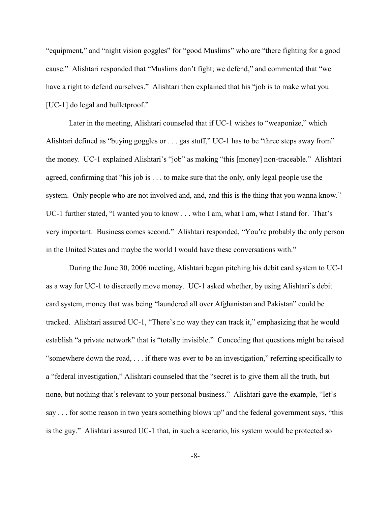"equipment," and "night vision goggles" for "good Muslims" who are "there fighting for a good cause." Alishtari responded that "Muslims don't fight; we defend," and commented that "we have a right to defend ourselves." Alishtari then explained that his "job is to make what you [UC-1] do legal and bulletproof."

Later in the meeting, Alishtari counseled that if UC-1 wishes to "weaponize," which Alishtari defined as "buying goggles or . . . gas stuff," UC-1 has to be "three steps away from" the money. UC-1 explained Alishtari's "job" as making "this [money] non-traceable." Alishtari agreed, confirming that "his job is . . . to make sure that the only, only legal people use the system. Only people who are not involved and, and, and this is the thing that you wanna know." UC-1 further stated, "I wanted you to know . . . who I am, what I am, what I stand for. That's very important. Business comes second." Alishtari responded, "You're probably the only person in the United States and maybe the world I would have these conversations with."

During the June 30, 2006 meeting, Alishtari began pitching his debit card system to UC-1 as a way for UC-1 to discreetly move money. UC-1 asked whether, by using Alishtari's debit card system, money that was being "laundered all over Afghanistan and Pakistan" could be tracked. Alishtari assured UC-1, "There's no way they can track it," emphasizing that he would establish "a private network" that is "totally invisible." Conceding that questions might be raised "somewhere down the road, . . . if there was ever to be an investigation," referring specifically to a "federal investigation," Alishtari counseled that the "secret is to give them all the truth, but none, but nothing that's relevant to your personal business." Alishtari gave the example, "let's say . . . for some reason in two years something blows up" and the federal government says, "this is the guy." Alishtari assured UC-1 that, in such a scenario, his system would be protected so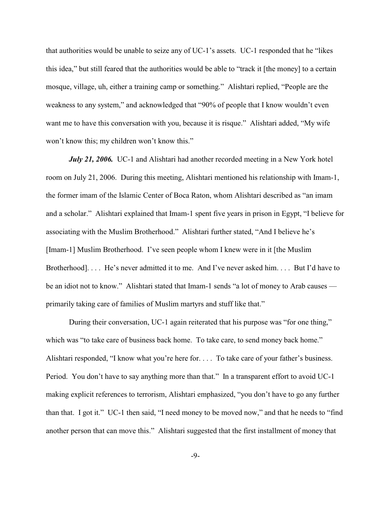that authorities would be unable to seize any of UC-1's assets. UC-1 responded that he "likes this idea," but still feared that the authorities would be able to "track it [the money] to a certain mosque, village, uh, either a training camp or something." Alishtari replied, "People are the weakness to any system," and acknowledged that "90% of people that I know wouldn't even want me to have this conversation with you, because it is risque." Alishtari added, "My wife won't know this; my children won't know this."

*July 21, 2006.* UC-1 and Alishtari had another recorded meeting in a New York hotel room on July 21, 2006. During this meeting, Alishtari mentioned his relationship with Imam-1, the former imam of the Islamic Center of Boca Raton, whom Alishtari described as "an imam and a scholar." Alishtari explained that Imam-1 spent five years in prison in Egypt, "I believe for associating with the Muslim Brotherhood." Alishtari further stated, "And I believe he's [Imam-1] Muslim Brotherhood. I've seen people whom I knew were in it [the Muslim Brotherhood]. . . . He's never admitted it to me. And I've never asked him. . . . But I'd have to be an idiot not to know." Alishtari stated that Imam-1 sends "a lot of money to Arab causes primarily taking care of families of Muslim martyrs and stuff like that."

During their conversation, UC-1 again reiterated that his purpose was "for one thing," which was "to take care of business back home. To take care, to send money back home." Alishtari responded, "I know what you're here for. . . . To take care of your father's business. Period. You don't have to say anything more than that." In a transparent effort to avoid UC-1 making explicit references to terrorism, Alishtari emphasized, "you don't have to go any further than that. I got it." UC-1 then said, "I need money to be moved now," and that he needs to "find another person that can move this." Alishtari suggested that the first installment of money that

-9-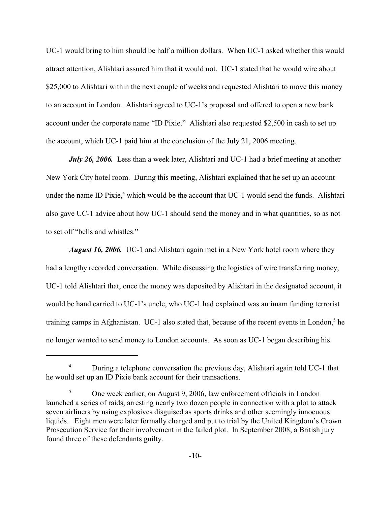UC-1 would bring to him should be half a million dollars. When UC-1 asked whether this would attract attention, Alishtari assured him that it would not. UC-1 stated that he would wire about \$25,000 to Alishtari within the next couple of weeks and requested Alishtari to move this money to an account in London. Alishtari agreed to UC-1's proposal and offered to open a new bank account under the corporate name "ID Pixie." Alishtari also requested \$2,500 in cash to set up the account, which UC-1 paid him at the conclusion of the July 21, 2006 meeting.

*July 26, 2006.* Less than a week later, Alishtari and UC-1 had a brief meeting at another New York City hotel room. During this meeting, Alishtari explained that he set up an account under the name ID Pixie, $4$  which would be the account that UC-1 would send the funds. Alishtari also gave UC-1 advice about how UC-1 should send the money and in what quantities, so as not to set off "bells and whistles."

*August 16, 2006.* UC-1 and Alishtari again met in a New York hotel room where they had a lengthy recorded conversation. While discussing the logistics of wire transferring money, UC-1 told Alishtari that, once the money was deposited by Alishtari in the designated account, it would be hand carried to UC-1's uncle, who UC-1 had explained was an imam funding terrorist training camps in Afghanistan. UC-1 also stated that, because of the recent events in London,<sup>5</sup> he no longer wanted to send money to London accounts. As soon as UC-1 began describing his

<sup>&</sup>lt;sup>4</sup> During a telephone conversation the previous day, Alishtari again told UC-1 that he would set up an ID Pixie bank account for their transactions.

<sup>&</sup>lt;sup>5</sup> One week earlier, on August 9, 2006, law enforcement officials in London launched a series of raids, arresting nearly two dozen people in connection with a plot to attack seven airliners by using explosives disguised as sports drinks and other seemingly innocuous liquids. Eight men were later formally charged and put to trial by the United Kingdom's Crown Prosecution Service for their involvement in the failed plot. In September 2008, a British jury found three of these defendants guilty.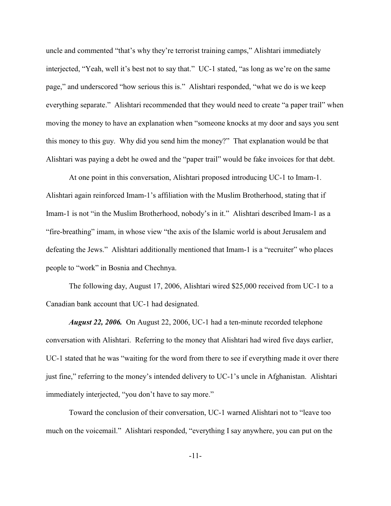uncle and commented "that's why they're terrorist training camps," Alishtari immediately interjected, "Yeah, well it's best not to say that." UC-1 stated, "as long as we're on the same page," and underscored "how serious this is." Alishtari responded, "what we do is we keep everything separate." Alishtari recommended that they would need to create "a paper trail" when moving the money to have an explanation when "someone knocks at my door and says you sent this money to this guy. Why did you send him the money?" That explanation would be that Alishtari was paying a debt he owed and the "paper trail" would be fake invoices for that debt.

At one point in this conversation, Alishtari proposed introducing UC-1 to Imam-1. Alishtari again reinforced Imam-1's affiliation with the Muslim Brotherhood, stating that if Imam-1 is not "in the Muslim Brotherhood, nobody's in it." Alishtari described Imam-1 as a "fire-breathing" imam, in whose view "the axis of the Islamic world is about Jerusalem and defeating the Jews." Alishtari additionally mentioned that Imam-1 is a "recruiter" who places people to "work" in Bosnia and Chechnya.

The following day, August 17, 2006, Alishtari wired \$25,000 received from UC-1 to a Canadian bank account that UC-1 had designated.

 *August 22, 2006.* On August 22, 2006, UC-1 had a ten-minute recorded telephone conversation with Alishtari. Referring to the money that Alishtari had wired five days earlier, UC-1 stated that he was "waiting for the word from there to see if everything made it over there just fine," referring to the money's intended delivery to UC-1's uncle in Afghanistan. Alishtari immediately interjected, "you don't have to say more."

Toward the conclusion of their conversation, UC-1 warned Alishtari not to "leave too much on the voicemail." Alishtari responded, "everything I say anywhere, you can put on the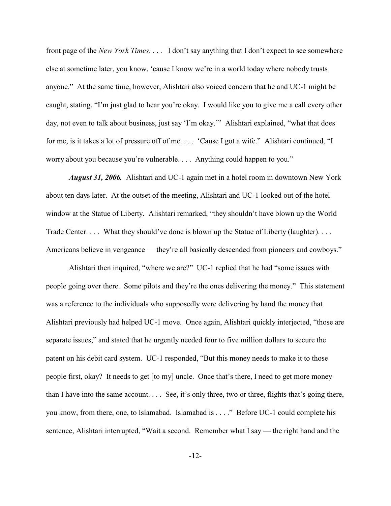front page of the *New York Times*. . . . I don't say anything that I don't expect to see somewhere else at sometime later, you know, 'cause I know we're in a world today where nobody trusts anyone." At the same time, however, Alishtari also voiced concern that he and UC-1 might be caught, stating, "I'm just glad to hear you're okay. I would like you to give me a call every other day, not even to talk about business, just say 'I'm okay.'" Alishtari explained, "what that does for me, is it takes a lot of pressure off of me. . . . 'Cause I got a wife." Alishtari continued, "I worry about you because you're vulnerable. . . . Anything could happen to you."

*August 31, 2006.* Alishtari and UC-1 again met in a hotel room in downtown New York about ten days later. At the outset of the meeting, Alishtari and UC-1 looked out of the hotel window at the Statue of Liberty. Alishtari remarked, "they shouldn't have blown up the World Trade Center. . . . What they should've done is blown up the Statue of Liberty (laughter). . . . Americans believe in vengeance — they're all basically descended from pioneers and cowboys."

Alishtari then inquired, "where we are?" UC-1 replied that he had "some issues with people going over there. Some pilots and they're the ones delivering the money." This statement was a reference to the individuals who supposedly were delivering by hand the money that Alishtari previously had helped UC-1 move. Once again, Alishtari quickly interjected, "those are separate issues," and stated that he urgently needed four to five million dollars to secure the patent on his debit card system. UC-1 responded, "But this money needs to make it to those people first, okay? It needs to get [to my] uncle. Once that's there, I need to get more money than I have into the same account. . . . See, it's only three, two or three, flights that's going there, you know, from there, one, to Islamabad. Islamabad is . . . ." Before UC-1 could complete his sentence, Alishtari interrupted, "Wait a second. Remember what I say — the right hand and the

-12-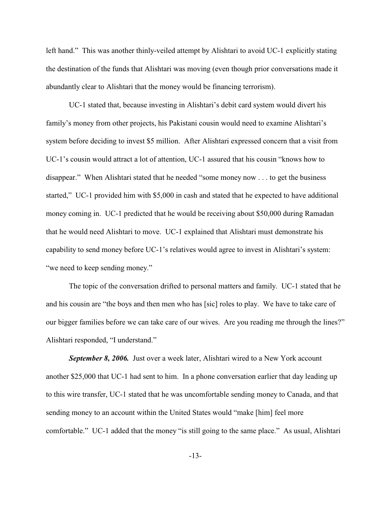left hand." This was another thinly-veiled attempt by Alishtari to avoid UC-1 explicitly stating the destination of the funds that Alishtari was moving (even though prior conversations made it abundantly clear to Alishtari that the money would be financing terrorism).

UC-1 stated that, because investing in Alishtari's debit card system would divert his family's money from other projects, his Pakistani cousin would need to examine Alishtari's system before deciding to invest \$5 million. After Alishtari expressed concern that a visit from UC-1's cousin would attract a lot of attention, UC-1 assured that his cousin "knows how to disappear." When Alishtari stated that he needed "some money now . . . to get the business started," UC-1 provided him with \$5,000 in cash and stated that he expected to have additional money coming in. UC-1 predicted that he would be receiving about \$50,000 during Ramadan that he would need Alishtari to move. UC-1 explained that Alishtari must demonstrate his capability to send money before UC-1's relatives would agree to invest in Alishtari's system: "we need to keep sending money."

The topic of the conversation drifted to personal matters and family. UC-1 stated that he and his cousin are "the boys and then men who has [sic] roles to play. We have to take care of our bigger families before we can take care of our wives. Are you reading me through the lines?" Alishtari responded, "I understand."

*September 8, 2006.* Just over a week later, Alishtari wired to a New York account another \$25,000 that UC-1 had sent to him. In a phone conversation earlier that day leading up to this wire transfer, UC-1 stated that he was uncomfortable sending money to Canada, and that sending money to an account within the United States would "make [him] feel more comfortable." UC-1 added that the money "is still going to the same place." As usual, Alishtari

-13-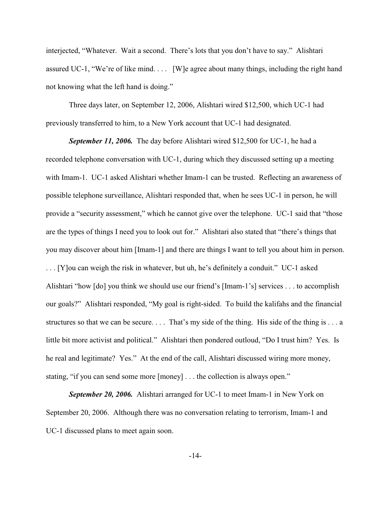interjected, "Whatever. Wait a second. There's lots that you don't have to say." Alishtari assured UC-1, "We're of like mind. . . . [W]e agree about many things, including the right hand not knowing what the left hand is doing."

Three days later, on September 12, 2006, Alishtari wired \$12,500, which UC-1 had previously transferred to him, to a New York account that UC-1 had designated.

*September 11, 2006.* The day before Alishtari wired \$12,500 for UC-1, he had a recorded telephone conversation with UC-1, during which they discussed setting up a meeting with Imam-1. UC-1 asked Alishtari whether Imam-1 can be trusted. Reflecting an awareness of possible telephone surveillance, Alishtari responded that, when he sees UC-1 in person, he will provide a "security assessment," which he cannot give over the telephone. UC-1 said that "those are the types of things I need you to look out for." Alishtari also stated that "there's things that you may discover about him [Imam-1] and there are things I want to tell you about him in person. . . . [Y]ou can weigh the risk in whatever, but uh, he's definitely a conduit." UC-1 asked Alishtari "how [do] you think we should use our friend's [Imam-1's] services . . . to accomplish our goals?" Alishtari responded, "My goal is right-sided. To build the kalifahs and the financial structures so that we can be secure.... That's my side of the thing. His side of the thing is ... a little bit more activist and political." Alishtari then pondered outloud, "Do I trust him? Yes. Is he real and legitimate? Yes." At the end of the call, Alishtari discussed wiring more money, stating, "if you can send some more [money] . . . the collection is always open."

*September 20, 2006.* Alishtari arranged for UC-1 to meet Imam-1 in New York on September 20, 2006. Although there was no conversation relating to terrorism, Imam-1 and UC-1 discussed plans to meet again soon.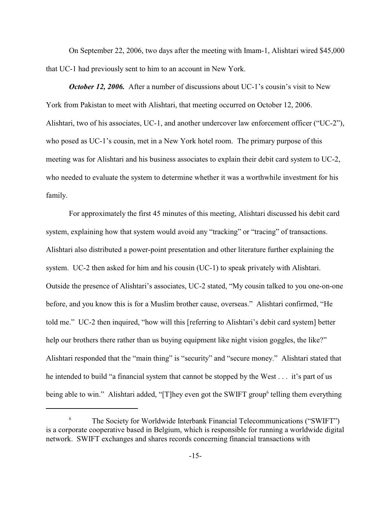On September 22, 2006, two days after the meeting with Imam-1, Alishtari wired \$45,000 that UC-1 had previously sent to him to an account in New York.

*October 12, 2006.* After a number of discussions about UC-1's cousin's visit to New York from Pakistan to meet with Alishtari, that meeting occurred on October 12, 2006. Alishtari, two of his associates, UC-1, and another undercover law enforcement officer ("UC-2"), who posed as UC-1's cousin, met in a New York hotel room. The primary purpose of this meeting was for Alishtari and his business associates to explain their debit card system to UC-2, who needed to evaluate the system to determine whether it was a worthwhile investment for his family.

For approximately the first 45 minutes of this meeting, Alishtari discussed his debit card system, explaining how that system would avoid any "tracking" or "tracing" of transactions. Alishtari also distributed a power-point presentation and other literature further explaining the system. UC-2 then asked for him and his cousin (UC-1) to speak privately with Alishtari. Outside the presence of Alishtari's associates, UC-2 stated, "My cousin talked to you one-on-one before, and you know this is for a Muslim brother cause, overseas." Alishtari confirmed, "He told me." UC-2 then inquired, "how will this [referring to Alishtari's debit card system] better help our brothers there rather than us buying equipment like night vision goggles, the like?" Alishtari responded that the "main thing" is "security" and "secure money." Alishtari stated that he intended to build "a financial system that cannot be stopped by the West . . . it's part of us being able to win." Alishtari added, "[T]hey even got the SWIFT group<sup>6</sup> telling them everything

The Society for Worldwide Interbank Financial Telecommunications ("SWIFT") 6 is a corporate cooperative based in Belgium, which is responsible for running a worldwide digital network. SWIFT exchanges and shares records concerning financial transactions with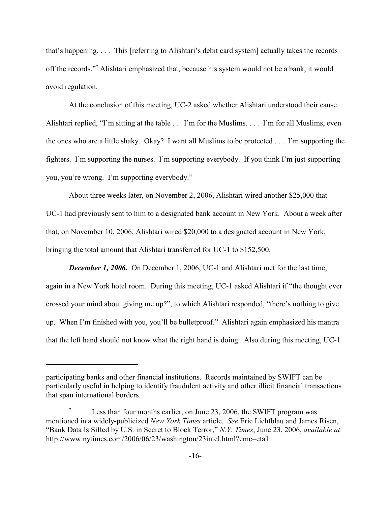that's happening. . . . This [referring to Alishtari's debit card system] actually takes the records off the records."<sup>7</sup> Alishtari emphasized that, because his system would not be a bank, it would avoid regulation.

At the conclusion of this meeting, UC-2 asked whether Alishtari understood their cause. Alishtari replied, "I'm sitting at the table . . . I'm for the Muslims. . . . I'm for all Muslims, even the ones who are a little shaky. Okay? I want all Muslims to be protected . . . I'm supporting the fighters. I'm supporting the nurses. I'm supporting everybody. If you think I'm just supporting you, you're wrong. I'm supporting everybody."

About three weeks later, on November 2, 2006, Alishtari wired another \$25,000 that UC-1 had previously sent to him to a designated bank account in New York. About a week after that, on November 10, 2006, Alishtari wired \$20,000 to a designated account in New York, bringing the total amount that Alishtari transferred for UC-1 to \$152,500.

*December 1, 2006.* On December 1, 2006, UC-1 and Alishtari met for the last time, again in a New York hotel room. During this meeting, UC-1 asked Alishtari if "the thought ever crossed your mind about giving me up?", to which Alishtari responded, "there's nothing to give up. When I'm finished with you, you'll be bulletproof." Alishtari again emphasized his mantra that the left hand should not know what the right hand is doing. Also during this meeting, UC-1

participating banks and other financial institutions. Records maintained by SWIFT can be particularly useful in helping to identify fraudulent activity and other illicit financial transactions that span international borders.

Less than four months earlier, on June 23, 2006, the SWIFT program was 7 mentioned in a widely-publicized *New York Times* article. *See* Eric Lichtblau and James Risen, "Bank Data Is Sifted by U.S. in Secret to Block Terror," *N.Y. Times*, June 23, 2006, *available at* http://www.nytimes.com/2006/06/23/washington/23intel.html?emc=eta1.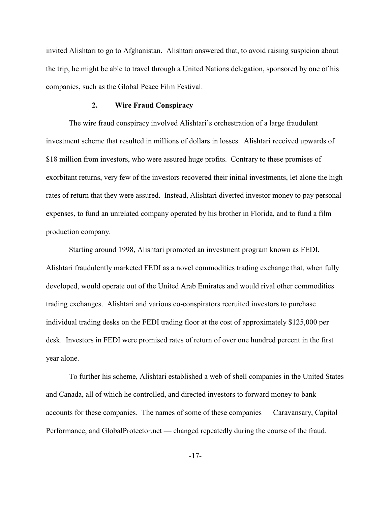invited Alishtari to go to Afghanistan. Alishtari answered that, to avoid raising suspicion about the trip, he might be able to travel through a United Nations delegation, sponsored by one of his companies, such as the Global Peace Film Festival.

### **2. Wire Fraud Conspiracy**

The wire fraud conspiracy involved Alishtari's orchestration of a large fraudulent investment scheme that resulted in millions of dollars in losses. Alishtari received upwards of \$18 million from investors, who were assured huge profits. Contrary to these promises of exorbitant returns, very few of the investors recovered their initial investments, let alone the high rates of return that they were assured. Instead, Alishtari diverted investor money to pay personal expenses, to fund an unrelated company operated by his brother in Florida, and to fund a film production company.

Starting around 1998, Alishtari promoted an investment program known as FEDI. Alishtari fraudulently marketed FEDI as a novel commodities trading exchange that, when fully developed, would operate out of the United Arab Emirates and would rival other commodities trading exchanges. Alishtari and various co-conspirators recruited investors to purchase individual trading desks on the FEDI trading floor at the cost of approximately \$125,000 per desk. Investors in FEDI were promised rates of return of over one hundred percent in the first year alone.

To further his scheme, Alishtari established a web of shell companies in the United States and Canada, all of which he controlled, and directed investors to forward money to bank accounts for these companies. The names of some of these companies — Caravansary, Capitol Performance, and GlobalProtector.net — changed repeatedly during the course of the fraud.

-17-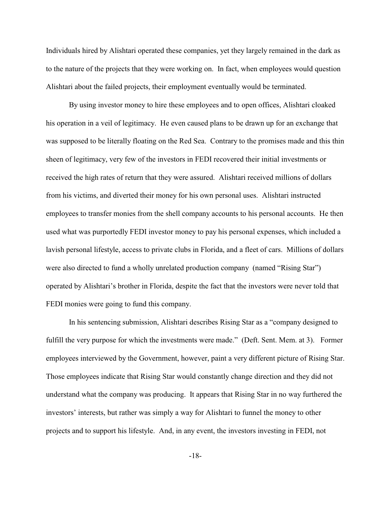Individuals hired by Alishtari operated these companies, yet they largely remained in the dark as to the nature of the projects that they were working on. In fact, when employees would question Alishtari about the failed projects, their employment eventually would be terminated.

By using investor money to hire these employees and to open offices, Alishtari cloaked his operation in a veil of legitimacy. He even caused plans to be drawn up for an exchange that was supposed to be literally floating on the Red Sea. Contrary to the promises made and this thin sheen of legitimacy, very few of the investors in FEDI recovered their initial investments or received the high rates of return that they were assured. Alishtari received millions of dollars from his victims, and diverted their money for his own personal uses. Alishtari instructed employees to transfer monies from the shell company accounts to his personal accounts. He then used what was purportedly FEDI investor money to pay his personal expenses, which included a lavish personal lifestyle, access to private clubs in Florida, and a fleet of cars. Millions of dollars were also directed to fund a wholly unrelated production company (named "Rising Star") operated by Alishtari's brother in Florida, despite the fact that the investors were never told that FEDI monies were going to fund this company.

In his sentencing submission, Alishtari describes Rising Star as a "company designed to fulfill the very purpose for which the investments were made." (Deft. Sent. Mem. at 3). Former employees interviewed by the Government, however, paint a very different picture of Rising Star. Those employees indicate that Rising Star would constantly change direction and they did not understand what the company was producing. It appears that Rising Star in no way furthered the investors' interests, but rather was simply a way for Alishtari to funnel the money to other projects and to support his lifestyle. And, in any event, the investors investing in FEDI, not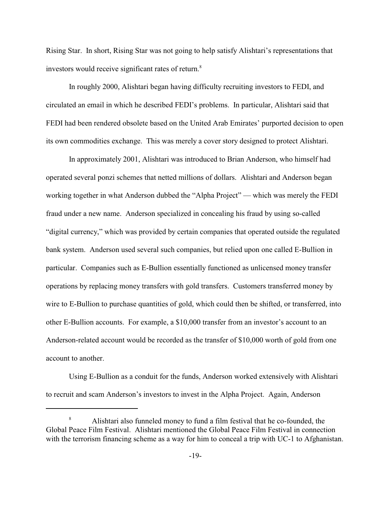Rising Star. In short, Rising Star was not going to help satisfy Alishtari's representations that investors would receive significant rates of return.<sup>8</sup>

In roughly 2000, Alishtari began having difficulty recruiting investors to FEDI, and circulated an email in which he described FEDI's problems. In particular, Alishtari said that FEDI had been rendered obsolete based on the United Arab Emirates' purported decision to open its own commodities exchange. This was merely a cover story designed to protect Alishtari.

In approximately 2001, Alishtari was introduced to Brian Anderson, who himself had operated several ponzi schemes that netted millions of dollars. Alishtari and Anderson began working together in what Anderson dubbed the "Alpha Project" — which was merely the FEDI fraud under a new name. Anderson specialized in concealing his fraud by using so-called "digital currency," which was provided by certain companies that operated outside the regulated bank system. Anderson used several such companies, but relied upon one called E-Bullion in particular. Companies such as E-Bullion essentially functioned as unlicensed money transfer operations by replacing money transfers with gold transfers. Customers transferred money by wire to E-Bullion to purchase quantities of gold, which could then be shifted, or transferred, into other E-Bullion accounts. For example, a \$10,000 transfer from an investor's account to an Anderson-related account would be recorded as the transfer of \$10,000 worth of gold from one account to another.

Using E-Bullion as a conduit for the funds, Anderson worked extensively with Alishtari to recruit and scam Anderson's investors to invest in the Alpha Project. Again, Anderson

Alishtari also funneled money to fund a film festival that he co-founded, the <sup>8</sup> Global Peace Film Festival. Alishtari mentioned the Global Peace Film Festival in connection with the terrorism financing scheme as a way for him to conceal a trip with UC-1 to Afghanistan.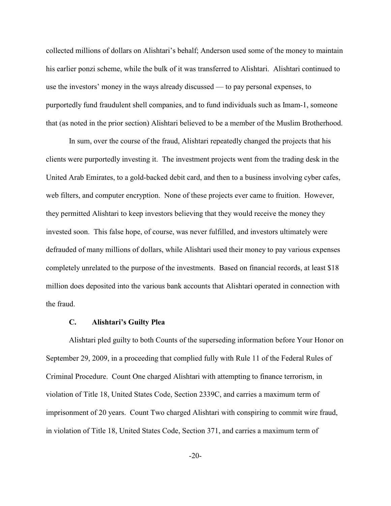collected millions of dollars on Alishtari's behalf; Anderson used some of the money to maintain his earlier ponzi scheme, while the bulk of it was transferred to Alishtari. Alishtari continued to use the investors' money in the ways already discussed — to pay personal expenses, to purportedly fund fraudulent shell companies, and to fund individuals such as Imam-1, someone that (as noted in the prior section) Alishtari believed to be a member of the Muslim Brotherhood.

In sum, over the course of the fraud, Alishtari repeatedly changed the projects that his clients were purportedly investing it. The investment projects went from the trading desk in the United Arab Emirates, to a gold-backed debit card, and then to a business involving cyber cafes, web filters, and computer encryption. None of these projects ever came to fruition. However, they permitted Alishtari to keep investors believing that they would receive the money they invested soon. This false hope, of course, was never fulfilled, and investors ultimately were defrauded of many millions of dollars, while Alishtari used their money to pay various expenses completely unrelated to the purpose of the investments. Based on financial records, at least \$18 million does deposited into the various bank accounts that Alishtari operated in connection with the fraud.

### **C. Alishtari's Guilty Plea**

Alishtari pled guilty to both Counts of the superseding information before Your Honor on September 29, 2009, in a proceeding that complied fully with Rule 11 of the Federal Rules of Criminal Procedure. Count One charged Alishtari with attempting to finance terrorism, in violation of Title 18, United States Code, Section 2339C, and carries a maximum term of imprisonment of 20 years. Count Two charged Alishtari with conspiring to commit wire fraud, in violation of Title 18, United States Code, Section 371, and carries a maximum term of

-20-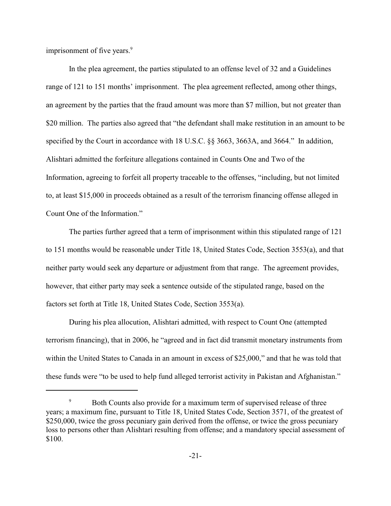imprisonment of five years.<sup>9</sup>

In the plea agreement, the parties stipulated to an offense level of 32 and a Guidelines range of 121 to 151 months' imprisonment. The plea agreement reflected, among other things, an agreement by the parties that the fraud amount was more than \$7 million, but not greater than \$20 million. The parties also agreed that "the defendant shall make restitution in an amount to be specified by the Court in accordance with 18 U.S.C. §§ 3663, 3663A, and 3664." In addition, Alishtari admitted the forfeiture allegations contained in Counts One and Two of the Information, agreeing to forfeit all property traceable to the offenses, "including, but not limited to, at least \$15,000 in proceeds obtained as a result of the terrorism financing offense alleged in Count One of the Information."

The parties further agreed that a term of imprisonment within this stipulated range of 121 to 151 months would be reasonable under Title 18, United States Code, Section 3553(a), and that neither party would seek any departure or adjustment from that range. The agreement provides, however, that either party may seek a sentence outside of the stipulated range, based on the factors set forth at Title 18, United States Code, Section 3553(a).

During his plea allocution, Alishtari admitted, with respect to Count One (attempted terrorism financing), that in 2006, he "agreed and in fact did transmit monetary instruments from within the United States to Canada in an amount in excess of \$25,000," and that he was told that these funds were "to be used to help fund alleged terrorist activity in Pakistan and Afghanistan."

<sup>&</sup>lt;sup>9</sup> Both Counts also provide for a maximum term of supervised release of three years; a maximum fine, pursuant to Title 18, United States Code, Section 3571, of the greatest of \$250,000, twice the gross pecuniary gain derived from the offense, or twice the gross pecuniary loss to persons other than Alishtari resulting from offense; and a mandatory special assessment of \$100.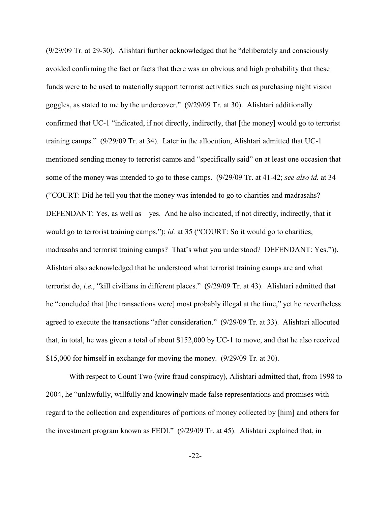(9/29/09 Tr. at 29-30). Alishtari further acknowledged that he "deliberately and consciously avoided confirming the fact or facts that there was an obvious and high probability that these funds were to be used to materially support terrorist activities such as purchasing night vision goggles, as stated to me by the undercover." (9/29/09 Tr. at 30). Alishtari additionally confirmed that UC-1 "indicated, if not directly, indirectly, that [the money] would go to terrorist training camps." (9/29/09 Tr. at 34). Later in the allocution, Alishtari admitted that UC-1 mentioned sending money to terrorist camps and "specifically said" on at least one occasion that some of the money was intended to go to these camps. (9/29/09 Tr. at 41-42; *see also id.* at 34 ("COURT: Did he tell you that the money was intended to go to charities and madrasahs? DEFENDANT: Yes, as well as – yes. And he also indicated, if not directly, indirectly, that it would go to terrorist training camps."); *id.* at 35 ("COURT: So it would go to charities, madrasahs and terrorist training camps? That's what you understood? DEFENDANT: Yes.")). Alishtari also acknowledged that he understood what terrorist training camps are and what terrorist do, *i.e.*, "kill civilians in different places." (9/29/09 Tr. at 43). Alishtari admitted that he "concluded that [the transactions were] most probably illegal at the time," yet he nevertheless agreed to execute the transactions "after consideration." (9/29/09 Tr. at 33). Alishtari allocuted that, in total, he was given a total of about \$152,000 by UC-1 to move, and that he also received \$15,000 for himself in exchange for moving the money. (9/29/09 Tr. at 30).

With respect to Count Two (wire fraud conspiracy), Alishtari admitted that, from 1998 to 2004, he "unlawfully, willfully and knowingly made false representations and promises with regard to the collection and expenditures of portions of money collected by [him] and others for the investment program known as FEDI." (9/29/09 Tr. at 45). Alishtari explained that, in

-22-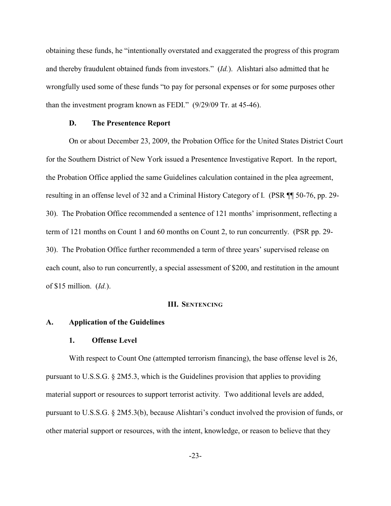obtaining these funds, he "intentionally overstated and exaggerated the progress of this program and thereby fraudulent obtained funds from investors." (*Id.*). Alishtari also admitted that he wrongfully used some of these funds "to pay for personal expenses or for some purposes other than the investment program known as FEDI." (9/29/09 Tr. at 45-46).

#### **D. The Presentence Report**

On or about December 23, 2009, the Probation Office for the United States District Court for the Southern District of New York issued a Presentence Investigative Report. In the report, the Probation Office applied the same Guidelines calculation contained in the plea agreement, resulting in an offense level of 32 and a Criminal History Category of I. (PSR ¶¶ 50-76, pp. 29- 30). The Probation Office recommended a sentence of 121 months' imprisonment, reflecting a term of 121 months on Count 1 and 60 months on Count 2, to run concurrently. (PSR pp. 29- 30). The Probation Office further recommended a term of three years' supervised release on each count, also to run concurrently, a special assessment of \$200, and restitution in the amount of \$15 million. (*Id.*).

### **III. SENTENCING**

#### **A. Application of the Guidelines**

#### **1. Offense Level**

With respect to Count One (attempted terrorism financing), the base offense level is 26, pursuant to U.S.S.G. § 2M5.3, which is the Guidelines provision that applies to providing material support or resources to support terrorist activity. Two additional levels are added, pursuant to U.S.S.G. § 2M5.3(b), because Alishtari's conduct involved the provision of funds, or other material support or resources, with the intent, knowledge, or reason to believe that they

-23-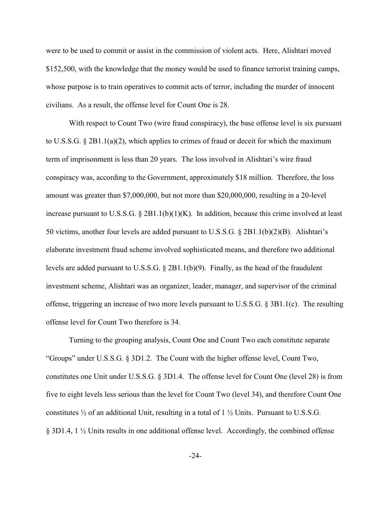were to be used to commit or assist in the commission of violent acts. Here, Alishtari moved \$152,500, with the knowledge that the money would be used to finance terrorist training camps, whose purpose is to train operatives to commit acts of terror, including the murder of innocent civilians. As a result, the offense level for Count One is 28.

With respect to Count Two (wire fraud conspiracy), the base offense level is six pursuant to U.S.S.G.  $\S 2B1.1(a)(2)$ , which applies to crimes of fraud or deceit for which the maximum term of imprisonment is less than 20 years. The loss involved in Alishtari's wire fraud conspiracy was, according to the Government, approximately \$18 million. Therefore, the loss amount was greater than \$7,000,000, but not more than \$20,000,000, resulting in a 20-level increase pursuant to U.S.S.G.  $\S 2B1.1(b)(1)(K)$ . In addition, because this crime involved at least 50 victims, another four levels are added pursuant to U.S.S.G. § 2B1.1(b)(2)(B). Alishtari's elaborate investment fraud scheme involved sophisticated means, and therefore two additional levels are added pursuant to U.S.S.G. § 2B1.1(b)(9). Finally, as the head of the fraudulent investment scheme, Alishtari was an organizer, leader, manager, and supervisor of the criminal offense, triggering an increase of two more levels pursuant to U.S.S.G. § 3B1.1(c). The resulting offense level for Count Two therefore is 34.

Turning to the grouping analysis, Count One and Count Two each constitute separate "Groups" under U.S.S.G. § 3D1.2. The Count with the higher offense level, Count Two, constitutes one Unit under U.S.S.G. § 3D1.4. The offense level for Count One (level 28) is from five to eight levels less serious than the level for Count Two (level 34), and therefore Count One constitutes ½ of an additional Unit, resulting in a total of 1 ½ Units. Pursuant to U.S.S.G. § 3D1.4, 1 ½ Units results in one additional offense level. Accordingly, the combined offense

-24-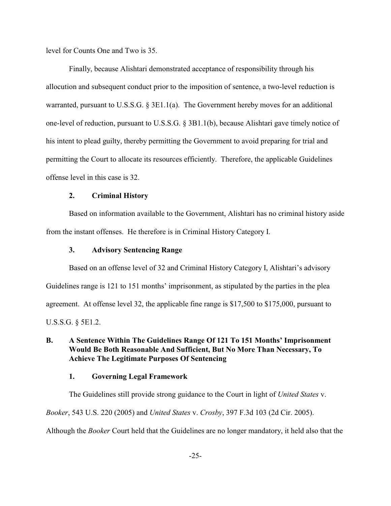level for Counts One and Two is 35.

Finally, because Alishtari demonstrated acceptance of responsibility through his allocution and subsequent conduct prior to the imposition of sentence, a two-level reduction is warranted, pursuant to U.S.S.G. § 3E1.1(a). The Government hereby moves for an additional one-level of reduction, pursuant to U.S.S.G. § 3B1.1(b), because Alishtari gave timely notice of his intent to plead guilty, thereby permitting the Government to avoid preparing for trial and permitting the Court to allocate its resources efficiently. Therefore, the applicable Guidelines offense level in this case is 32.

# **2. Criminal History**

Based on information available to the Government, Alishtari has no criminal history aside from the instant offenses. He therefore is in Criminal History Category I.

# **3. Advisory Sentencing Range**

Based on an offense level of 32 and Criminal History Category I, Alishtari's advisory Guidelines range is 121 to 151 months' imprisonment, as stipulated by the parties in the plea agreement. At offense level 32, the applicable fine range is \$17,500 to \$175,000, pursuant to U.S.S.G. § 5E1.2.

# **B. A Sentence Within The Guidelines Range Of 121 To 151 Months' Imprisonment Would Be Both Reasonable And Sufficient, But No More Than Necessary, To Achieve The Legitimate Purposes Of Sentencing**

# **1. Governing Legal Framework**

The Guidelines still provide strong guidance to the Court in light of *United States* v.

*Booker*, 543 U.S. 220 (2005) and *United States* v. *Crosby*, 397 F.3d 103 (2d Cir. 2005).

Although the *Booker* Court held that the Guidelines are no longer mandatory, it held also that the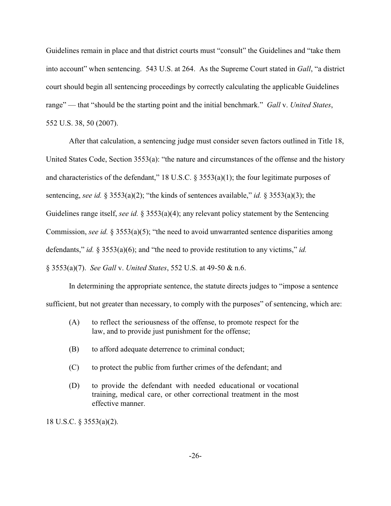Guidelines remain in place and that district courts must "consult" the Guidelines and "take them into account" when sentencing. 543 U.S. at 264. As the Supreme Court stated in *Gall*, "a district court should begin all sentencing proceedings by correctly calculating the applicable Guidelines range" — that "should be the starting point and the initial benchmark." *Gall* v. *United States*, 552 U.S. 38, 50 (2007).

After that calculation, a sentencing judge must consider seven factors outlined in Title 18, United States Code, Section 3553(a): "the nature and circumstances of the offense and the history and characteristics of the defendant," 18 U.S.C. § 3553(a)(1); the four legitimate purposes of sentencing, *see id.* § 3553(a)(2); "the kinds of sentences available," *id.* § 3553(a)(3); the Guidelines range itself, *see id.* § 3553(a)(4); any relevant policy statement by the Sentencing Commission, *see id.* § 3553(a)(5); "the need to avoid unwarranted sentence disparities among defendants," *id.* § 3553(a)(6); and "the need to provide restitution to any victims," *id.* § 3553(a)(7). *See Gall* v. *United States*, 552 U.S. at 49-50 & n.6.

In determining the appropriate sentence, the statute directs judges to "impose a sentence sufficient, but not greater than necessary, to comply with the purposes" of sentencing, which are:

- (A) to reflect the seriousness of the offense, to promote respect for the law, and to provide just punishment for the offense;
- (B) to afford adequate deterrence to criminal conduct;
- (C) to protect the public from further crimes of the defendant; and
- (D) to provide the defendant with needed educational or vocational training, medical care, or other correctional treatment in the most effective manner.

18 U.S.C. § 3553(a)(2).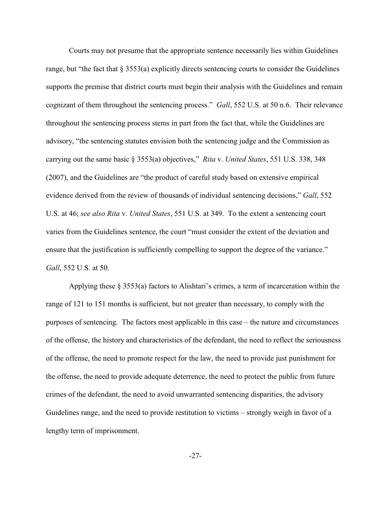Courts may not presume that the appropriate sentence necessarily lies within Guidelines range, but "the fact that  $\S 3553(a)$  explicitly directs sentencing courts to consider the Guidelines supports the premise that district courts must begin their analysis with the Guidelines and remain cognizant of them throughout the sentencing process." *Gall*, 552 U.S. at 50 n.6. Their relevance throughout the sentencing process stems in part from the fact that, while the Guidelines are advisory, "the sentencing statutes envision both the sentencing judge and the Commission as carrying out the same basic § 3553(a) objectives," *Rita* v. *United States*, 551 U.S. 338, 348 (2007), and the Guidelines are "the product of careful study based on extensive empirical evidence derived from the review of thousands of individual sentencing decisions," *Gall*, 552 U.S. at 46; *see also Rita* v. *United States*, 551 U.S. at 349. To the extent a sentencing court varies from the Guidelines sentence, the court "must consider the extent of the deviation and ensure that the justification is sufficiently compelling to support the degree of the variance." *Gall*, 552 U.S. at 50.

Applying these  $\S 3553(a)$  factors to Alishtari's crimes, a term of incarceration within the range of 121 to 151 months is sufficient, but not greater than necessary, to comply with the purposes of sentencing. The factors most applicable in this case – the nature and circumstances of the offense, the history and characteristics of the defendant, the need to reflect the seriousness of the offense, the need to promote respect for the law, the need to provide just punishment for the offense, the need to provide adequate deterrence, the need to protect the public from future crimes of the defendant, the need to avoid unwarranted sentencing disparities, the advisory Guidelines range, and the need to provide restitution to victims – strongly weigh in favor of a lengthy term of imprisonment.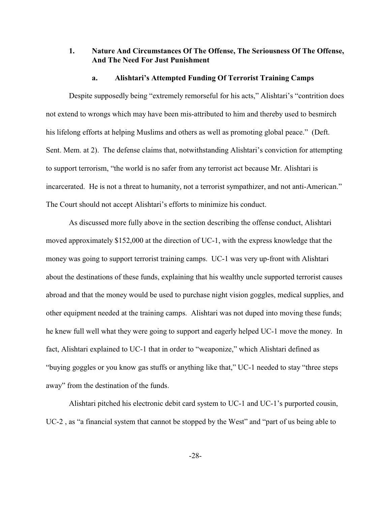# **1. Nature And Circumstances Of The Offense, The Seriousness Of The Offense, And The Need For Just Punishment**

#### **a. Alishtari's Attempted Funding Of Terrorist Training Camps**

Despite supposedly being "extremely remorseful for his acts," Alishtari's "contrition does not extend to wrongs which may have been mis-attributed to him and thereby used to besmirch his lifelong efforts at helping Muslims and others as well as promoting global peace." (Deft. Sent. Mem. at 2). The defense claims that, notwithstanding Alishtari's conviction for attempting to support terrorism, "the world is no safer from any terrorist act because Mr. Alishtari is incarcerated. He is not a threat to humanity, not a terrorist sympathizer, and not anti-American." The Court should not accept Alishtari's efforts to minimize his conduct.

As discussed more fully above in the section describing the offense conduct, Alishtari moved approximately \$152,000 at the direction of UC-1, with the express knowledge that the money was going to support terrorist training camps. UC-1 was very up-front with Alishtari about the destinations of these funds, explaining that his wealthy uncle supported terrorist causes abroad and that the money would be used to purchase night vision goggles, medical supplies, and other equipment needed at the training camps. Alishtari was not duped into moving these funds; he knew full well what they were going to support and eagerly helped UC-1 move the money. In fact, Alishtari explained to UC-1 that in order to "weaponize," which Alishtari defined as "buying goggles or you know gas stuffs or anything like that," UC-1 needed to stay "three steps away" from the destination of the funds.

Alishtari pitched his electronic debit card system to UC-1 and UC-1's purported cousin, UC-2 , as "a financial system that cannot be stopped by the West" and "part of us being able to

-28-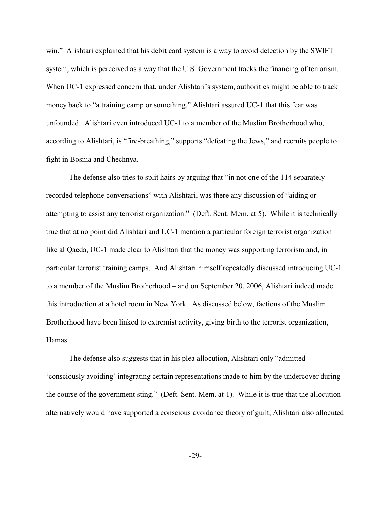win." Alishtari explained that his debit card system is a way to avoid detection by the SWIFT system, which is perceived as a way that the U.S. Government tracks the financing of terrorism. When UC-1 expressed concern that, under Alishtari's system, authorities might be able to track money back to "a training camp or something," Alishtari assured UC-1 that this fear was unfounded. Alishtari even introduced UC-1 to a member of the Muslim Brotherhood who, according to Alishtari, is "fire-breathing," supports "defeating the Jews," and recruits people to fight in Bosnia and Chechnya.

The defense also tries to split hairs by arguing that "in not one of the 114 separately recorded telephone conversations" with Alishtari, was there any discussion of "aiding or attempting to assist any terrorist organization." (Deft. Sent. Mem. at 5). While it is technically true that at no point did Alishtari and UC-1 mention a particular foreign terrorist organization like al Qaeda, UC-1 made clear to Alishtari that the money was supporting terrorism and, in particular terrorist training camps. And Alishtari himself repeatedly discussed introducing UC-1 to a member of the Muslim Brotherhood – and on September 20, 2006, Alishtari indeed made this introduction at a hotel room in New York. As discussed below, factions of the Muslim Brotherhood have been linked to extremist activity, giving birth to the terrorist organization, Hamas.

The defense also suggests that in his plea allocution, Alishtari only "admitted 'consciously avoiding' integrating certain representations made to him by the undercover during the course of the government sting." (Deft. Sent. Mem. at 1). While it is true that the allocution alternatively would have supported a conscious avoidance theory of guilt, Alishtari also allocuted

-29-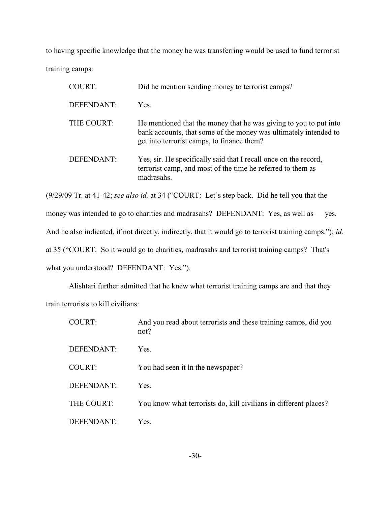to having specific knowledge that the money he was transferring would be used to fund terrorist training camps:

| <b>COURT:</b> | Did he mention sending money to terrorist camps?                                                                                                                                    |
|---------------|-------------------------------------------------------------------------------------------------------------------------------------------------------------------------------------|
| DEFENDANT:    | Yes.                                                                                                                                                                                |
| THE COURT:    | He mentioned that the money that he was giving to you to put into<br>bank accounts, that some of the money was ultimately intended to<br>get into terrorist camps, to finance them? |
| DEFENDANT:    | Yes, sir. He specifically said that I recall once on the record,<br>terrorist camp, and most of the time he referred to them as<br>madrasahs.                                       |

(9/29/09 Tr. at 41-42; *see also id.* at 34 ("COURT: Let's step back. Did he tell you that the money was intended to go to charities and madrasahs? DEFENDANT: Yes, as well as — yes. And he also indicated, if not directly, indirectly, that it would go to terrorist training camps."); *id.* at 35 ("COURT: So it would go to charities, madrasahs and terrorist training camps? That's what you understood? DEFENDANT: Yes.").

Alishtari further admitted that he knew what terrorist training camps are and that they train terrorists to kill civilians:

| <b>COURT:</b> | And you read about terrorists and these training camps, did you<br>not? |
|---------------|-------------------------------------------------------------------------|
| DEFENDANT:    | Yes.                                                                    |
| <b>COURT:</b> | You had seen it ln the newspaper?                                       |
| DEFENDANT:    | Yes.                                                                    |
| THE COURT:    | You know what terrorists do, kill civilians in different places?        |
| DEFENDANT:    | Yes.                                                                    |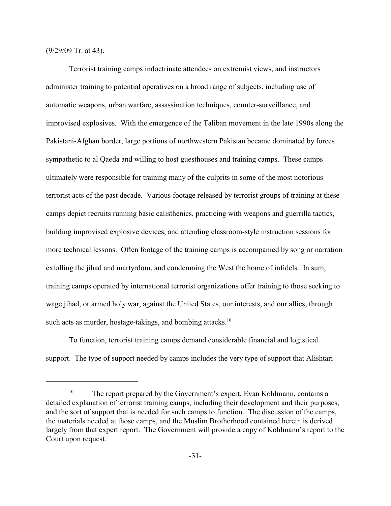(9/29/09 Tr. at 43).

Terrorist training camps indoctrinate attendees on extremist views, and instructors administer training to potential operatives on a broad range of subjects, including use of automatic weapons, urban warfare, assassination techniques, counter-surveillance, and improvised explosives. With the emergence of the Taliban movement in the late 1990s along the Pakistani-Afghan border, large portions of northwestern Pakistan became dominated by forces sympathetic to al Qaeda and willing to host guesthouses and training camps. These camps ultimately were responsible for training many of the culprits in some of the most notorious terrorist acts of the past decade. Various footage released by terrorist groups of training at these camps depict recruits running basic calisthenics, practicing with weapons and guerrilla tactics, building improvised explosive devices, and attending classroom-style instruction sessions for more technical lessons. Often footage of the training camps is accompanied by song or narration extolling the jihad and martyrdom, and condemning the West the home of infidels. In sum, training camps operated by international terrorist organizations offer training to those seeking to wage jihad, or armed holy war, against the United States, our interests, and our allies, through such acts as murder, hostage-takings, and bombing attacks.<sup>10</sup>

To function, terrorist training camps demand considerable financial and logistical support. The type of support needed by camps includes the very type of support that Alishtari

 $10$  The report prepared by the Government's expert, Evan Kohlmann, contains a detailed explanation of terrorist training camps, including their development and their purposes, and the sort of support that is needed for such camps to function. The discussion of the camps, the materials needed at those camps, and the Muslim Brotherhood contained herein is derived largely from that expert report. The Government will provide a copy of Kohlmann's report to the Court upon request.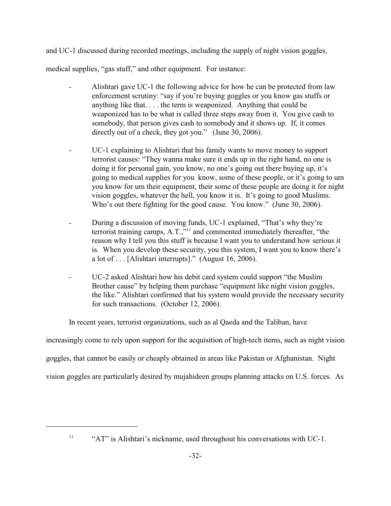and UC-1 discussed during recorded meetings, including the supply of night vision goggles, medical supplies, "gas stuff," and other equipment. For instance:

- Alishtari gave UC-1 the following advice for how he can be protected from law enforcement scrutiny: "say if you're buying goggles or you know gas stuffs or anything like that. . . . the term is weaponized. Anything that could be weaponized has to be what is called three steps away from it. You give cash to somebody, that person gives cash to somebody and it shows up. If, it comes directly out of a check, they got you." (June 30, 2006).
- UC-1 explaining to Alishtari that his family wants to move money to support terrorist causes: "They wanna make sure it ends up in the right hand, no one is doing it for personal gain, you know, no one's going out there buying up, it's going to medical supplies for you know, some of these people, or it's going to um you know for um their equipment, their some of these people are doing it for night vision goggles, whatever the hell, you know it is. It's going to good Muslims. Who's out there fighting for the good cause. You know." (June 30, 2006).
- During a discussion of moving funds, UC-1 explained, "That's why they're E and a method immediately thereafter, "the terrorist training camps, A.T.,"<sup>11</sup> and commented immediately thereafter, "the reason why I tell you this stuff is because I want you to understand how serious it is. When you develop these security, you this system, I want you to know there's a lot of . . . [Alishtari interrupts]." (August 16, 2006).
- UC-2 asked Alishtari how his debit card system could support "the Muslim Brother cause" by helping them purchase "equipment like night vision goggles, the like." Alishtari confirmed that his system would provide the necessary security for such transactions. (October 12, 2006).

In recent years, terrorist organizations, such as al Qaeda and the Taliban, have

increasingly come to rely upon support for the acquisition of high-tech items, such as night vision

goggles, that cannot be easily or cheaply obtained in areas like Pakistan or Afghanistan. Night

vision goggles are particularly desired by mujahideen groups planning attacks on U.S. forces. As

 $\text{``AT''}$  is Alishtari's nickname, used throughout his conversations with UC-1.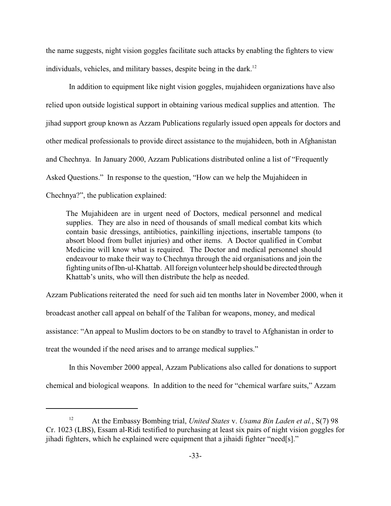the name suggests, night vision goggles facilitate such attacks by enabling the fighters to view individuals, vehicles, and military basses, despite being in the dark.<sup>12</sup>

In addition to equipment like night vision goggles, mujahideen organizations have also relied upon outside logistical support in obtaining various medical supplies and attention. The jihad support group known as Azzam Publications regularly issued open appeals for doctors and other medical professionals to provide direct assistance to the mujahideen, both in Afghanistan and Chechnya. In January 2000, Azzam Publications distributed online a list of "Frequently Asked Questions." In response to the question, "How can we help the Mujahideen in Chechnya?", the publication explained:

The Mujahideen are in urgent need of Doctors, medical personnel and medical supplies. They are also in need of thousands of small medical combat kits which contain basic dressings, antibiotics, painkilling injections, insertable tampons (to absort blood from bullet injuries) and other items. A Doctor qualified in Combat Medicine will know what is required. The Doctor and medical personnel should endeavour to make their way to Chechnya through the aid organisations and join the fighting units of Ibn-ul-Khattab. All foreign volunteer help should be directed through Khattab's units, who will then distribute the help as needed.

Azzam Publications reiterated the need for such aid ten months later in November 2000, when it broadcast another call appeal on behalf of the Taliban for weapons, money, and medical assistance: "An appeal to Muslim doctors to be on standby to travel to Afghanistan in order to treat the wounded if the need arises and to arrange medical supplies."

In this November 2000 appeal, Azzam Publications also called for donations to support chemical and biological weapons. In addition to the need for "chemical warfare suits," Azzam

<sup>&</sup>lt;sup>12</sup> At the Embassy Bombing trial, *United States v. Usama Bin Laden et al.*, S(7) 98 Cr. 1023 (LBS), Essam al-Ridi testified to purchasing at least six pairs of night vision goggles for jihadi fighters, which he explained were equipment that a jihaidi fighter "need[s]."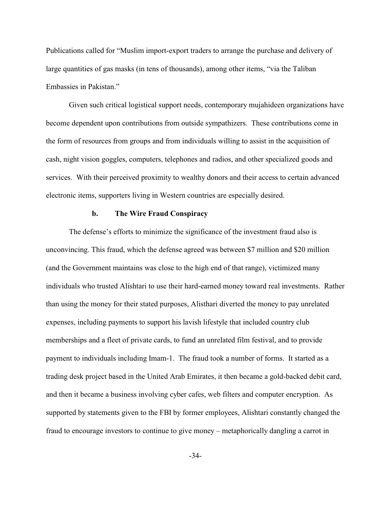Publications called for "Muslim import-export traders to arrange the purchase and delivery of large quantities of gas masks (in tens of thousands), among other items, "via the Taliban Embassies in Pakistan."

Given such critical logistical support needs, contemporary mujahideen organizations have become dependent upon contributions from outside sympathizers. These contributions come in the form of resources from groups and from individuals willing to assist in the acquisition of cash, night vision goggles, computers, telephones and radios, and other specialized goods and services. With their perceived proximity to wealthy donors and their access to certain advanced electronic items, supporters living in Western countries are especially desired.

#### **b. The Wire Fraud Conspiracy**

The defense's efforts to minimize the significance of the investment fraud also is unconvincing. This fraud, which the defense agreed was between \$7 million and \$20 million (and the Government maintains was close to the high end of that range), victimized many individuals who trusted Alishtari to use their hard-earned money toward real investments. Rather than using the money for their stated purposes, Alisthari diverted the money to pay unrelated expenses, including payments to support his lavish lifestyle that included country club memberships and a fleet of private cards, to fund an unrelated film festival, and to provide payment to individuals including Imam-1. The fraud took a number of forms. It started as a trading desk project based in the United Arab Emirates, it then became a gold-backed debit card, and then it became a business involving cyber cafes, web filters and computer encryption. As supported by statements given to the FBI by former employees, Alishtari constantly changed the fraud to encourage investors to continue to give money – metaphorically dangling a carrot in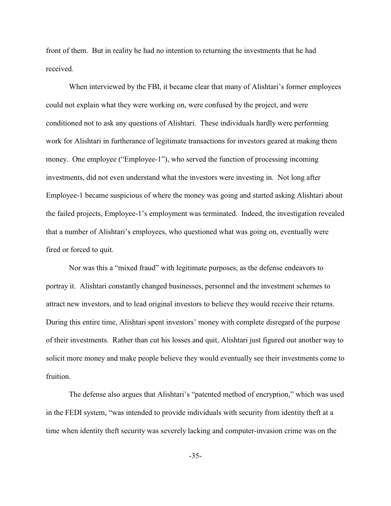front of them. But in reality he had no intention to returning the investments that he had received.

When interviewed by the FBI, it became clear that many of Alishtari's former employees could not explain what they were working on, were confused by the project, and were conditioned not to ask any questions of Alishtari. These individuals hardly were performing work for Alishtari in furtherance of legitimate transactions for investors geared at making them money. One employee ("Employee-1"), who served the function of processing incoming investments, did not even understand what the investors were investing in. Not long after Employee-1 became suspicious of where the money was going and started asking Alishtari about the failed projects, Employee-1's employment was terminated. Indeed, the investigation revealed that a number of Alishtari's employees, who questioned what was going on, eventually were fired or forced to quit.

Nor was this a "mixed fraud" with legitimate purposes, as the defense endeavors to portray it. Alishtari constantly changed businesses, personnel and the investment schemes to attract new investors, and to lead original investors to believe they would receive their returns. During this entire time, Alishtari spent investors' money with complete disregard of the purpose of their investments. Rather than cut his losses and quit, Alishtari just figured out another way to solicit more money and make people believe they would eventually see their investments come to fruition.

The defense also argues that Alishtari's "patented method of encryption," which was used in the FEDI system, "was intended to provide individuals with security from identity theft at a time when identity theft security was severely lacking and computer-invasion crime was on the

-35-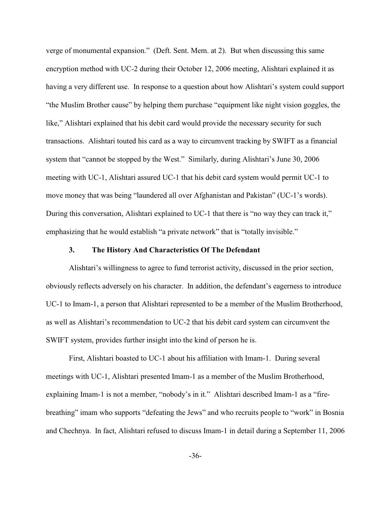verge of monumental expansion." (Deft. Sent. Mem. at 2). But when discussing this same encryption method with UC-2 during their October 12, 2006 meeting, Alishtari explained it as having a very different use. In response to a question about how Alishtari's system could support "the Muslim Brother cause" by helping them purchase "equipment like night vision goggles, the like," Alishtari explained that his debit card would provide the necessary security for such transactions. Alishtari touted his card as a way to circumvent tracking by SWIFT as a financial system that "cannot be stopped by the West." Similarly, during Alishtari's June 30, 2006 meeting with UC-1, Alishtari assured UC-1 that his debit card system would permit UC-1 to move money that was being "laundered all over Afghanistan and Pakistan" (UC-1's words). During this conversation, Alishtari explained to UC-1 that there is "no way they can track it," emphasizing that he would establish "a private network" that is "totally invisible."

### **3. The History And Characteristics Of The Defendant**

Alishtari's willingness to agree to fund terrorist activity, discussed in the prior section, obviously reflects adversely on his character. In addition, the defendant's eagerness to introduce UC-1 to Imam-1, a person that Alishtari represented to be a member of the Muslim Brotherhood, as well as Alishtari's recommendation to UC-2 that his debit card system can circumvent the SWIFT system, provides further insight into the kind of person he is.

First, Alishtari boasted to UC-1 about his affiliation with Imam-1. During several meetings with UC-1, Alishtari presented Imam-1 as a member of the Muslim Brotherhood, explaining Imam-1 is not a member, "nobody's in it." Alishtari described Imam-1 as a "firebreathing" imam who supports "defeating the Jews" and who recruits people to "work" in Bosnia and Chechnya. In fact, Alishtari refused to discuss Imam-1 in detail during a September 11, 2006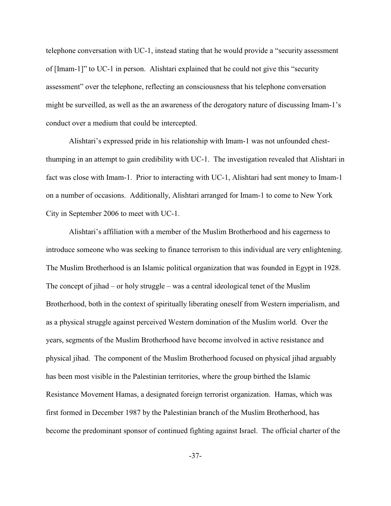telephone conversation with UC-1, instead stating that he would provide a "security assessment of [Imam-1]" to UC-1 in person. Alishtari explained that he could not give this "security assessment" over the telephone, reflecting an consciousness that his telephone conversation might be surveilled, as well as the an awareness of the derogatory nature of discussing Imam-1's conduct over a medium that could be intercepted.

Alishtari's expressed pride in his relationship with Imam-1 was not unfounded chestthumping in an attempt to gain credibility with UC-1. The investigation revealed that Alishtari in fact was close with Imam-1. Prior to interacting with UC-1, Alishtari had sent money to Imam-1 on a number of occasions. Additionally, Alishtari arranged for Imam-1 to come to New York City in September 2006 to meet with UC-1.

Alishtari's affiliation with a member of the Muslim Brotherhood and his eagerness to introduce someone who was seeking to finance terrorism to this individual are very enlightening. The Muslim Brotherhood is an Islamic political organization that was founded in Egypt in 1928. The concept of jihad – or holy struggle – was a central ideological tenet of the Muslim Brotherhood, both in the context of spiritually liberating oneself from Western imperialism, and as a physical struggle against perceived Western domination of the Muslim world. Over the years, segments of the Muslim Brotherhood have become involved in active resistance and physical jihad. The component of the Muslim Brotherhood focused on physical jihad arguably has been most visible in the Palestinian territories, where the group birthed the Islamic Resistance Movement Hamas, a designated foreign terrorist organization. Hamas, which was first formed in December 1987 by the Palestinian branch of the Muslim Brotherhood, has become the predominant sponsor of continued fighting against Israel. The official charter of the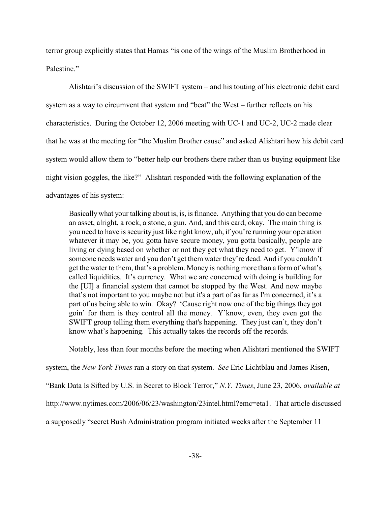terror group explicitly states that Hamas "is one of the wings of the Muslim Brotherhood in Palestine."

Alishtari's discussion of the SWIFT system – and his touting of his electronic debit card system as a way to circumvent that system and "beat" the West – further reflects on his characteristics. During the October 12, 2006 meeting with UC-1 and UC-2, UC-2 made clear that he was at the meeting for "the Muslim Brother cause" and asked Alishtari how his debit card system would allow them to "better help our brothers there rather than us buying equipment like night vision goggles, the like?" Alishtari responded with the following explanation of the advantages of his system:

Basically what your talking about is, is, is finance. Anything that you do can become an asset, alright, a rock, a stone, a gun. And, and this card, okay. The main thing is you need to have is security just like right know, uh, if you're running your operation whatever it may be, you gotta have secure money, you gotta basically, people are living or dying based on whether or not they get what they need to get. Y'know if someone needs water and you don't get them water they're dead. And if you couldn't get the water to them, that's a problem. Money is nothing more than a form of what's called liquidities. It's currency. What we are concerned with doing is building for the [UI] a financial system that cannot be stopped by the West. And now maybe that's not important to you maybe not but it's a part of as far as I'm concerned, it's a part of us being able to win. Okay? 'Cause right now one of the big things they got goin' for them is they control all the money. Y'know, even, they even got the SWIFT group telling them everything that's happening. They just can't, they don't know what's happening. This actually takes the records off the records.

Notably, less than four months before the meeting when Alishtari mentioned the SWIFT

system, the *New York Times* ran a story on that system. *See* Eric Lichtblau and James Risen,

"Bank Data Is Sifted by U.S. in Secret to Block Terror," *N.Y. Times*, June 23, 2006, *available at*

http://www.nytimes.com/2006/06/23/washington/23intel.html?emc=eta1. That article discussed

a supposedly "secret Bush Administration program initiated weeks after the September 11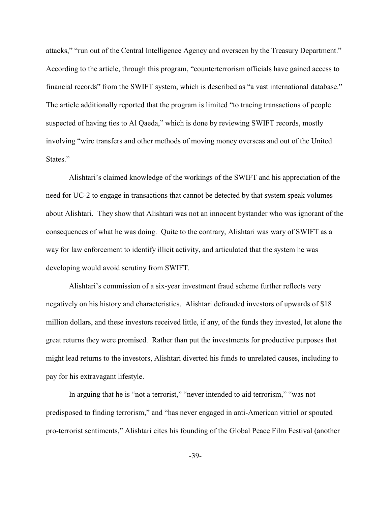attacks," "run out of the Central Intelligence Agency and overseen by the Treasury Department." According to the article, through this program, "counterterrorism officials have gained access to financial records" from the SWIFT system, which is described as "a vast international database." The article additionally reported that the program is limited "to tracing transactions of people suspected of having ties to Al Qaeda," which is done by reviewing SWIFT records, mostly involving "wire transfers and other methods of moving money overseas and out of the United States."

Alishtari's claimed knowledge of the workings of the SWIFT and his appreciation of the need for UC-2 to engage in transactions that cannot be detected by that system speak volumes about Alishtari. They show that Alishtari was not an innocent bystander who was ignorant of the consequences of what he was doing. Quite to the contrary, Alishtari was wary of SWIFT as a way for law enforcement to identify illicit activity, and articulated that the system he was developing would avoid scrutiny from SWIFT.

Alishtari's commission of a six-year investment fraud scheme further reflects very negatively on his history and characteristics. Alishtari defrauded investors of upwards of \$18 million dollars, and these investors received little, if any, of the funds they invested, let alone the great returns they were promised. Rather than put the investments for productive purposes that might lead returns to the investors, Alishtari diverted his funds to unrelated causes, including to pay for his extravagant lifestyle.

In arguing that he is "not a terrorist," "never intended to aid terrorism," "was not predisposed to finding terrorism," and "has never engaged in anti-American vitriol or spouted pro-terrorist sentiments," Alishtari cites his founding of the Global Peace Film Festival (another

-39-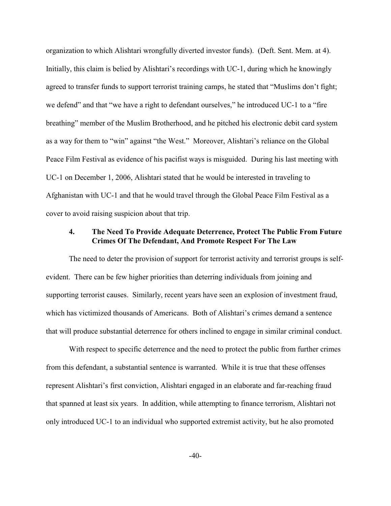organization to which Alishtari wrongfully diverted investor funds). (Deft. Sent. Mem. at 4). Initially, this claim is belied by Alishtari's recordings with UC-1, during which he knowingly agreed to transfer funds to support terrorist training camps, he stated that "Muslims don't fight; we defend" and that "we have a right to defendant ourselves," he introduced UC-1 to a "fire breathing" member of the Muslim Brotherhood, and he pitched his electronic debit card system as a way for them to "win" against "the West." Moreover, Alishtari's reliance on the Global Peace Film Festival as evidence of his pacifist ways is misguided. During his last meeting with UC-1 on December 1, 2006, Alishtari stated that he would be interested in traveling to Afghanistan with UC-1 and that he would travel through the Global Peace Film Festival as a cover to avoid raising suspicion about that trip.

# **4. The Need To Provide Adequate Deterrence, Protect The Public From Future Crimes Of The Defendant, And Promote Respect For The Law**

The need to deter the provision of support for terrorist activity and terrorist groups is selfevident. There can be few higher priorities than deterring individuals from joining and supporting terrorist causes. Similarly, recent years have seen an explosion of investment fraud, which has victimized thousands of Americans. Both of Alishtari's crimes demand a sentence that will produce substantial deterrence for others inclined to engage in similar criminal conduct.

With respect to specific deterrence and the need to protect the public from further crimes from this defendant, a substantial sentence is warranted. While it is true that these offenses represent Alishtari's first conviction, Alishtari engaged in an elaborate and far-reaching fraud that spanned at least six years. In addition, while attempting to finance terrorism, Alishtari not only introduced UC-1 to an individual who supported extremist activity, but he also promoted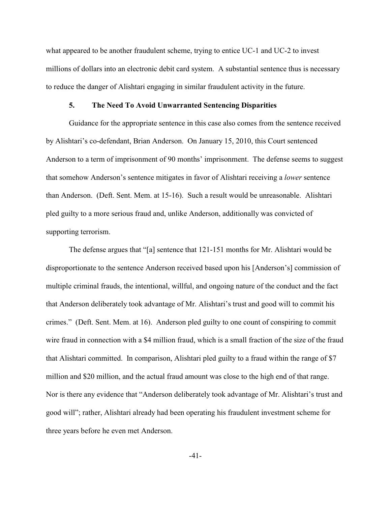what appeared to be another fraudulent scheme, trying to entice UC-1 and UC-2 to invest millions of dollars into an electronic debit card system. A substantial sentence thus is necessary to reduce the danger of Alishtari engaging in similar fraudulent activity in the future.

### **5. The Need To Avoid Unwarranted Sentencing Disparities**

Guidance for the appropriate sentence in this case also comes from the sentence received by Alishtari's co-defendant, Brian Anderson. On January 15, 2010, this Court sentenced Anderson to a term of imprisonment of 90 months' imprisonment. The defense seems to suggest that somehow Anderson's sentence mitigates in favor of Alishtari receiving a *lower* sentence than Anderson. (Deft. Sent. Mem. at 15-16). Such a result would be unreasonable. Alishtari pled guilty to a more serious fraud and, unlike Anderson, additionally was convicted of supporting terrorism.

The defense argues that "[a] sentence that 121-151 months for Mr. Alishtari would be disproportionate to the sentence Anderson received based upon his [Anderson's] commission of multiple criminal frauds, the intentional, willful, and ongoing nature of the conduct and the fact that Anderson deliberately took advantage of Mr. Alishtari's trust and good will to commit his crimes." (Deft. Sent. Mem. at 16). Anderson pled guilty to one count of conspiring to commit wire fraud in connection with a \$4 million fraud, which is a small fraction of the size of the fraud that Alishtari committed. In comparison, Alishtari pled guilty to a fraud within the range of \$7 million and \$20 million, and the actual fraud amount was close to the high end of that range. Nor is there any evidence that "Anderson deliberately took advantage of Mr. Alishtari's trust and good will"; rather, Alishtari already had been operating his fraudulent investment scheme for three years before he even met Anderson.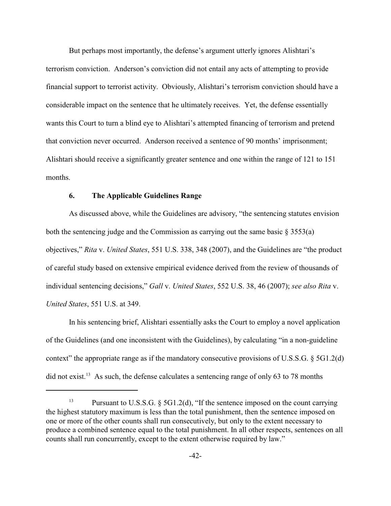But perhaps most importantly, the defense's argument utterly ignores Alishtari's terrorism conviction. Anderson's conviction did not entail any acts of attempting to provide financial support to terrorist activity. Obviously, Alishtari's terrorism conviction should have a considerable impact on the sentence that he ultimately receives. Yet, the defense essentially wants this Court to turn a blind eye to Alishtari's attempted financing of terrorism and pretend that conviction never occurred. Anderson received a sentence of 90 months' imprisonment; Alishtari should receive a significantly greater sentence and one within the range of 121 to 151 months.

### **6. The Applicable Guidelines Range**

As discussed above, while the Guidelines are advisory, "the sentencing statutes envision both the sentencing judge and the Commission as carrying out the same basic § 3553(a) objectives," *Rita* v. *United States*, 551 U.S. 338, 348 (2007), and the Guidelines are "the product of careful study based on extensive empirical evidence derived from the review of thousands of individual sentencing decisions," *Gall* v. *United States*, 552 U.S. 38, 46 (2007); *see also Rita* v. *United States*, 551 U.S. at 349.

In his sentencing brief, Alishtari essentially asks the Court to employ a novel application of the Guidelines (and one inconsistent with the Guidelines), by calculating "in a non-guideline context" the appropriate range as if the mandatory consecutive provisions of U.S.S.G. § 5G1.2(d) did not exist.<sup>13</sup> As such, the defense calculates a sentencing range of only 63 to 78 months

<sup>&</sup>lt;sup>13</sup> Pursuant to U.S.S.G.  $\S$  5G1.2(d), "If the sentence imposed on the count carrying the highest statutory maximum is less than the total punishment, then the sentence imposed on one or more of the other counts shall run consecutively, but only to the extent necessary to produce a combined sentence equal to the total punishment. In all other respects, sentences on all counts shall run concurrently, except to the extent otherwise required by law."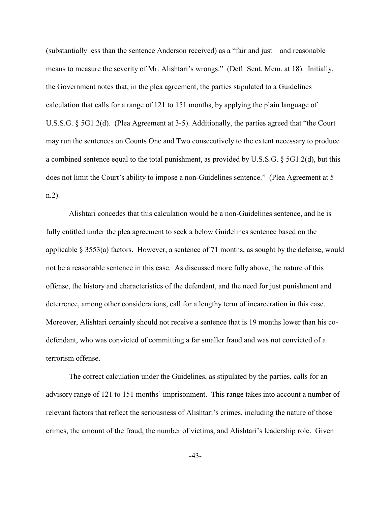(substantially less than the sentence Anderson received) as a "fair and just – and reasonable – means to measure the severity of Mr. Alishtari's wrongs." (Deft. Sent. Mem. at 18). Initially, the Government notes that, in the plea agreement, the parties stipulated to a Guidelines calculation that calls for a range of 121 to 151 months, by applying the plain language of U.S.S.G. § 5G1.2(d). (Plea Agreement at 3-5). Additionally, the parties agreed that "the Court may run the sentences on Counts One and Two consecutively to the extent necessary to produce a combined sentence equal to the total punishment, as provided by U.S.S.G. § 5G1.2(d), but this does not limit the Court's ability to impose a non-Guidelines sentence." (Plea Agreement at 5 n.2).

Alishtari concedes that this calculation would be a non-Guidelines sentence, and he is fully entitled under the plea agreement to seek a below Guidelines sentence based on the applicable § 3553(a) factors. However, a sentence of 71 months, as sought by the defense, would not be a reasonable sentence in this case. As discussed more fully above, the nature of this offense, the history and characteristics of the defendant, and the need for just punishment and deterrence, among other considerations, call for a lengthy term of incarceration in this case. Moreover, Alishtari certainly should not receive a sentence that is 19 months lower than his codefendant, who was convicted of committing a far smaller fraud and was not convicted of a terrorism offense.

The correct calculation under the Guidelines, as stipulated by the parties, calls for an advisory range of 121 to 151 months' imprisonment. This range takes into account a number of relevant factors that reflect the seriousness of Alishtari's crimes, including the nature of those crimes, the amount of the fraud, the number of victims, and Alishtari's leadership role. Given

-43-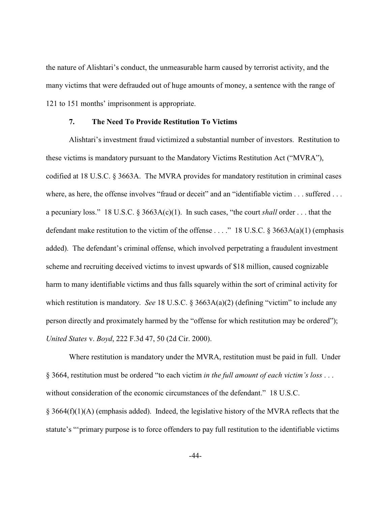the nature of Alishtari's conduct, the unmeasurable harm caused by terrorist activity, and the many victims that were defrauded out of huge amounts of money, a sentence with the range of 121 to 151 months' imprisonment is appropriate.

#### **7. The Need To Provide Restitution To Victims**

Alishtari's investment fraud victimized a substantial number of investors. Restitution to these victims is mandatory pursuant to the Mandatory Victims Restitution Act ("MVRA"), codified at 18 U.S.C. § 3663A. The MVRA provides for mandatory restitution in criminal cases where, as here, the offense involves "fraud or deceit" and an "identifiable victim . . . suffered . . . a pecuniary loss." 18 U.S.C. § 3663A(c)(1). In such cases, "the court *shall* order . . . that the defendant make restitution to the victim of the offense . . . ." 18 U.S.C. § 3663A(a)(1) (emphasis added). The defendant's criminal offense, which involved perpetrating a fraudulent investment scheme and recruiting deceived victims to invest upwards of \$18 million, caused cognizable harm to many identifiable victims and thus falls squarely within the sort of criminal activity for which restitution is mandatory. *See* 18 U.S.C. § 3663A(a)(2) (defining "victim" to include any person directly and proximately harmed by the "offense for which restitution may be ordered"); *United States* v. *Boyd*, 222 F.3d 47, 50 (2d Cir. 2000).

Where restitution is mandatory under the MVRA, restitution must be paid in full. Under § 3664, restitution must be ordered "to each victim *in the full amount of each victim's loss* . . . without consideration of the economic circumstances of the defendant." 18 U.S.C.  $§$  3664(f)(1)(A) (emphasis added). Indeed, the legislative history of the MVRA reflects that the statute's "'primary purpose is to force offenders to pay full restitution to the identifiable victims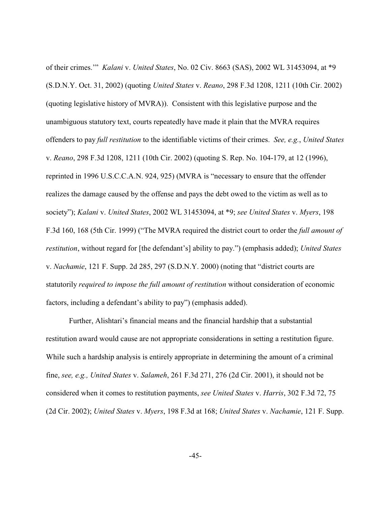of their crimes.'" *Kalani* v. *United States*, No. 02 Civ. 8663 (SAS), 2002 WL 31453094, at \*9 (S.D.N.Y. Oct. 31, 2002) (quoting *United States* v. *Reano*, 298 F.3d 1208, 1211 (10th Cir. 2002) (quoting legislative history of MVRA)). Consistent with this legislative purpose and the unambiguous statutory text, courts repeatedly have made it plain that the MVRA requires offenders to pay *full restitution* to the identifiable victims of their crimes. *See, e.g.*, *United States* v. *Reano*, 298 F.3d 1208, 1211 (10th Cir. 2002) (quoting S. Rep. No. 104-179, at 12 (1996), reprinted in 1996 U.S.C.C.A.N. 924, 925) (MVRA is "necessary to ensure that the offender realizes the damage caused by the offense and pays the debt owed to the victim as well as to society"); *Kalani* v. *United States*, 2002 WL 31453094, at \*9; *see United States* v. *Myers*, 198 F.3d 160, 168 (5th Cir. 1999) ("The MVRA required the district court to order the *full amount of restitution*, without regard for [the defendant's] ability to pay.") (emphasis added); *United States* v. *Nachamie*, 121 F. Supp. 2d 285, 297 (S.D.N.Y. 2000) (noting that "district courts are statutorily *required to impose the full amount of restitution* without consideration of economic factors, including a defendant's ability to pay") (emphasis added).

Further, Alishtari's financial means and the financial hardship that a substantial restitution award would cause are not appropriate considerations in setting a restitution figure. While such a hardship analysis is entirely appropriate in determining the amount of a criminal fine, *see, e.g., United States* v. *Salameh*, 261 F.3d 271, 276 (2d Cir. 2001), it should not be considered when it comes to restitution payments, *see United States* v. *Harris*, 302 F.3d 72, 75 (2d Cir. 2002); *United States* v. *Myers*, 198 F.3d at 168; *United States* v. *Nachamie*, 121 F. Supp.

-45-